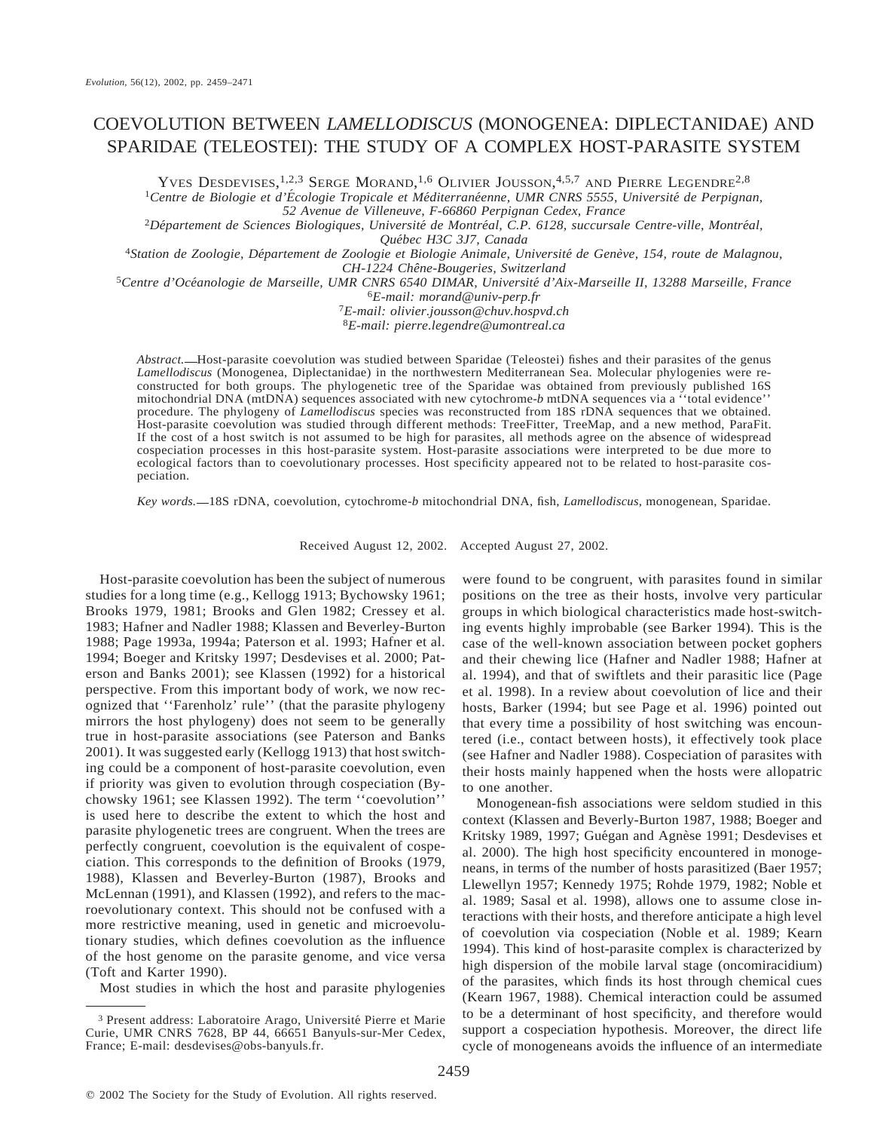# COEVOLUTION BETWEEN *LAMELLODISCUS* (MONOGENEA: DIPLECTANIDAE) AND SPARIDAE (TELEOSTEI): THE STUDY OF A COMPLEX HOST-PARASITE SYSTEM

YVES DESDEVISES,<sup>1,2,3</sup> SERGE MORAND,<sup>1,6</sup> OLIVIER JOUSSON,<sup>4,5,7</sup> AND PIERRE LEGENDRE<sup>2,8</sup> <sup>1</sup>Centre de Biologie et d'Écologie Tropicale et Méditerranéenne, UMR CNRS 5555, Université de Perpignan,<br>52 Avenue de Villeneuve, F-66860 Perpignan Cedex, France

<sup>2</sup>Département de Sciences Biologiques, Université de Montréal, C.P. 6128, succursale Centre-ville, Montréal,

*Que´bec H3C 3J7, Canada* <sup>4</sup>*Station de Zoologie, De´partement de Zoologie et Biologie Animale, Universite´ de Gene`ve, 154, route de Malagnou,*

<sup>5</sup>Centre d'Océanologie de Marseille, UMR CNRS 6540 DIMAR, Université d'Aix-Marseille II, 13288 Marseille, France<br><sup>6</sup>E-mail: morand@univ-perp.fr<br><sup>7</sup>E-mail: olivier.jousson@chuv.hospvd.ch

<sup>8</sup>*E-mail: pierre.legendre@umontreal.ca*

*Abstract.* Host-parasite coevolution was studied between Sparidae (Teleostei) fishes and their parasites of the genus *Lamellodiscus* (Monogenea, Diplectanidae) in the northwestern Mediterranean Sea. Molecular phylogenies were reconstructed for both groups. The phylogenetic tree of the Sparidae was obtained from previously published 16S mitochondrial DNA (mtDNA) sequences associated with new cytochrome-*b* mtDNA sequences via a ''total evidence'' procedure. The phylogeny of *Lamellodiscus* species was reconstructed from 18S rDNA sequences that we obtained. Host-parasite coevolution was studied through different methods: TreeFitter, TreeMap, and a new method, ParaFit. If the cost of a host switch is not assumed to be high for parasites, all methods agree on the absence of widespread cospeciation processes in this host-parasite system. Host-parasite associations were interpreted to be due more to ecological factors than to coevolutionary processes. Host specificity appeared not to be related to host-parasite cospeciation.

*Key words.* 18S rDNA, coevolution, cytochrome-*b* mitochondrial DNA, fish, *Lamellodiscus*, monogenean, Sparidae.

Received August 12, 2002. Accepted August 27, 2002.

Host-parasite coevolution has been the subject of numerous studies for a long time (e.g., Kellogg 1913; Bychowsky 1961; Brooks 1979, 1981; Brooks and Glen 1982; Cressey et al. 1983; Hafner and Nadler 1988; Klassen and Beverley-Burton 1988; Page 1993a, 1994a; Paterson et al. 1993; Hafner et al. 1994; Boeger and Kritsky 1997; Desdevises et al. 2000; Paterson and Banks 2001); see Klassen (1992) for a historical perspective. From this important body of work, we now recognized that ''Farenholz' rule'' (that the parasite phylogeny mirrors the host phylogeny) does not seem to be generally true in host-parasite associations (see Paterson and Banks 2001). It was suggested early (Kellogg 1913) that host switching could be a component of host-parasite coevolution, even if priority was given to evolution through cospeciation (Bychowsky 1961; see Klassen 1992). The term ''coevolution'' is used here to describe the extent to which the host and parasite phylogenetic trees are congruent. When the trees are perfectly congruent, coevolution is the equivalent of cospeciation. This corresponds to the definition of Brooks (1979, 1988), Klassen and Beverley-Burton (1987), Brooks and McLennan (1991), and Klassen (1992), and refers to the macroevolutionary context. This should not be confused with a more restrictive meaning, used in genetic and microevolutionary studies, which defines coevolution as the influence of the host genome on the parasite genome, and vice versa (Toft and Karter 1990).

Most studies in which the host and parasite phylogenies

were found to be congruent, with parasites found in similar positions on the tree as their hosts, involve very particular groups in which biological characteristics made host-switching events highly improbable (see Barker 1994). This is the case of the well-known association between pocket gophers and their chewing lice (Hafner and Nadler 1988; Hafner at al. 1994), and that of swiftlets and their parasitic lice (Page et al. 1998). In a review about coevolution of lice and their hosts, Barker (1994; but see Page et al. 1996) pointed out that every time a possibility of host switching was encountered (i.e., contact between hosts), it effectively took place (see Hafner and Nadler 1988). Cospeciation of parasites with their hosts mainly happened when the hosts were allopatric to one another.

Monogenean-fish associations were seldom studied in this context (Klassen and Beverly-Burton 1987, 1988; Boeger and Kritsky 1989, 1997; Guégan and Agnèse 1991; Desdevises et al. 2000). The high host specificity encountered in monogeneans, in terms of the number of hosts parasitized (Baer 1957; Llewellyn 1957; Kennedy 1975; Rohde 1979, 1982; Noble et al. 1989; Sasal et al. 1998), allows one to assume close interactions with their hosts, and therefore anticipate a high level of coevolution via cospeciation (Noble et al. 1989; Kearn 1994). This kind of host-parasite complex is characterized by high dispersion of the mobile larval stage (oncomiracidium) of the parasites, which finds its host through chemical cues (Kearn 1967, 1988). Chemical interaction could be assumed to be a determinant of host specificity, and therefore would support a cospeciation hypothesis. Moreover, the direct life cycle of monogeneans avoids the influence of an intermediate

<sup>&</sup>lt;sup>3</sup> Present address: Laboratoire Arago, Université Pierre et Marie Curie, UMR CNRS 7628, BP 44, 66651 Banyuls-sur-Mer Cedex, France; E-mail: desdevises@obs-banyuls.fr.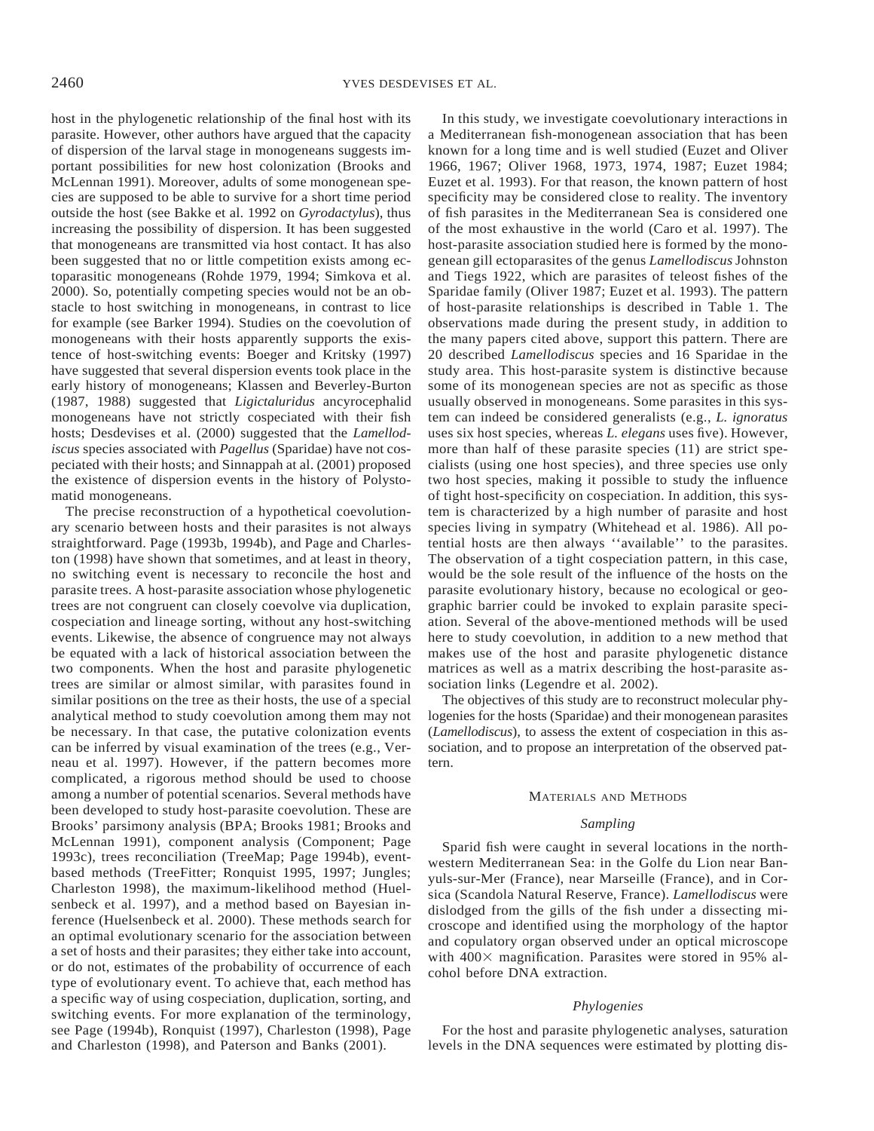host in the phylogenetic relationship of the final host with its parasite. However, other authors have argued that the capacity of dispersion of the larval stage in monogeneans suggests important possibilities for new host colonization (Brooks and McLennan 1991). Moreover, adults of some monogenean species are supposed to be able to survive for a short time period outside the host (see Bakke et al. 1992 on *Gyrodactylus*), thus increasing the possibility of dispersion. It has been suggested that monogeneans are transmitted via host contact. It has also been suggested that no or little competition exists among ectoparasitic monogeneans (Rohde 1979, 1994; Simkova et al. 2000). So, potentially competing species would not be an obstacle to host switching in monogeneans, in contrast to lice for example (see Barker 1994). Studies on the coevolution of monogeneans with their hosts apparently supports the existence of host-switching events: Boeger and Kritsky (1997) have suggested that several dispersion events took place in the early history of monogeneans; Klassen and Beverley-Burton (1987, 1988) suggested that *Ligictaluridus* ancyrocephalid monogeneans have not strictly cospeciated with their fish hosts; Desdevises et al. (2000) suggested that the *Lamellodiscus* species associated with *Pagellus* (Sparidae) have not cospeciated with their hosts; and Sinnappah at al. (2001) proposed the existence of dispersion events in the history of Polystomatid monogeneans.

The precise reconstruction of a hypothetical coevolutionary scenario between hosts and their parasites is not always straightforward. Page (1993b, 1994b), and Page and Charleston (1998) have shown that sometimes, and at least in theory, no switching event is necessary to reconcile the host and parasite trees. A host-parasite association whose phylogenetic trees are not congruent can closely coevolve via duplication, cospeciation and lineage sorting, without any host-switching events. Likewise, the absence of congruence may not always be equated with a lack of historical association between the two components. When the host and parasite phylogenetic trees are similar or almost similar, with parasites found in similar positions on the tree as their hosts, the use of a special analytical method to study coevolution among them may not be necessary. In that case, the putative colonization events can be inferred by visual examination of the trees (e.g., Verneau et al. 1997). However, if the pattern becomes more complicated, a rigorous method should be used to choose among a number of potential scenarios. Several methods have been developed to study host-parasite coevolution. These are Brooks' parsimony analysis (BPA; Brooks 1981; Brooks and McLennan 1991), component analysis (Component; Page 1993c), trees reconciliation (TreeMap; Page 1994b), eventbased methods (TreeFitter; Ronquist 1995, 1997; Jungles; Charleston 1998), the maximum-likelihood method (Huelsenbeck et al. 1997), and a method based on Bayesian inference (Huelsenbeck et al. 2000). These methods search for an optimal evolutionary scenario for the association between a set of hosts and their parasites; they either take into account, or do not, estimates of the probability of occurrence of each type of evolutionary event. To achieve that, each method has a specific way of using cospeciation, duplication, sorting, and switching events. For more explanation of the terminology, see Page (1994b), Ronquist (1997), Charleston (1998), Page and Charleston (1998), and Paterson and Banks (2001).

In this study, we investigate coevolutionary interactions in a Mediterranean fish-monogenean association that has been known for a long time and is well studied (Euzet and Oliver 1966, 1967; Oliver 1968, 1973, 1974, 1987; Euzet 1984; Euzet et al. 1993). For that reason, the known pattern of host specificity may be considered close to reality. The inventory of fish parasites in the Mediterranean Sea is considered one of the most exhaustive in the world (Caro et al. 1997). The host-parasite association studied here is formed by the monogenean gill ectoparasites of the genus *Lamellodiscus* Johnston and Tiegs 1922, which are parasites of teleost fishes of the Sparidae family (Oliver 1987; Euzet et al. 1993). The pattern of host-parasite relationships is described in Table 1. The observations made during the present study, in addition to the many papers cited above, support this pattern. There are 20 described *Lamellodiscus* species and 16 Sparidae in the study area. This host-parasite system is distinctive because some of its monogenean species are not as specific as those usually observed in monogeneans. Some parasites in this system can indeed be considered generalists (e.g., *L. ignoratus* uses six host species, whereas *L. elegans* uses five). However, more than half of these parasite species (11) are strict specialists (using one host species), and three species use only two host species, making it possible to study the influence of tight host-specificity on cospeciation. In addition, this system is characterized by a high number of parasite and host species living in sympatry (Whitehead et al. 1986). All potential hosts are then always ''available'' to the parasites. The observation of a tight cospeciation pattern, in this case, would be the sole result of the influence of the hosts on the parasite evolutionary history, because no ecological or geographic barrier could be invoked to explain parasite speciation. Several of the above-mentioned methods will be used here to study coevolution, in addition to a new method that makes use of the host and parasite phylogenetic distance matrices as well as a matrix describing the host-parasite association links (Legendre et al. 2002).

The objectives of this study are to reconstruct molecular phylogenies for the hosts (Sparidae) and their monogenean parasites (*Lamellodiscus*), to assess the extent of cospeciation in this association, and to propose an interpretation of the observed pattern.

# MATERIALS AND METHODS

## *Sampling*

Sparid fish were caught in several locations in the northwestern Mediterranean Sea: in the Golfe du Lion near Banyuls-sur-Mer (France), near Marseille (France), and in Corsica (Scandola Natural Reserve, France). *Lamellodiscus* were dislodged from the gills of the fish under a dissecting microscope and identified using the morphology of the haptor and copulatory organ observed under an optical microscope with  $400\times$  magnification. Parasites were stored in 95% alcohol before DNA extraction.

# *Phylogenies*

For the host and parasite phylogenetic analyses, saturation levels in the DNA sequences were estimated by plotting dis-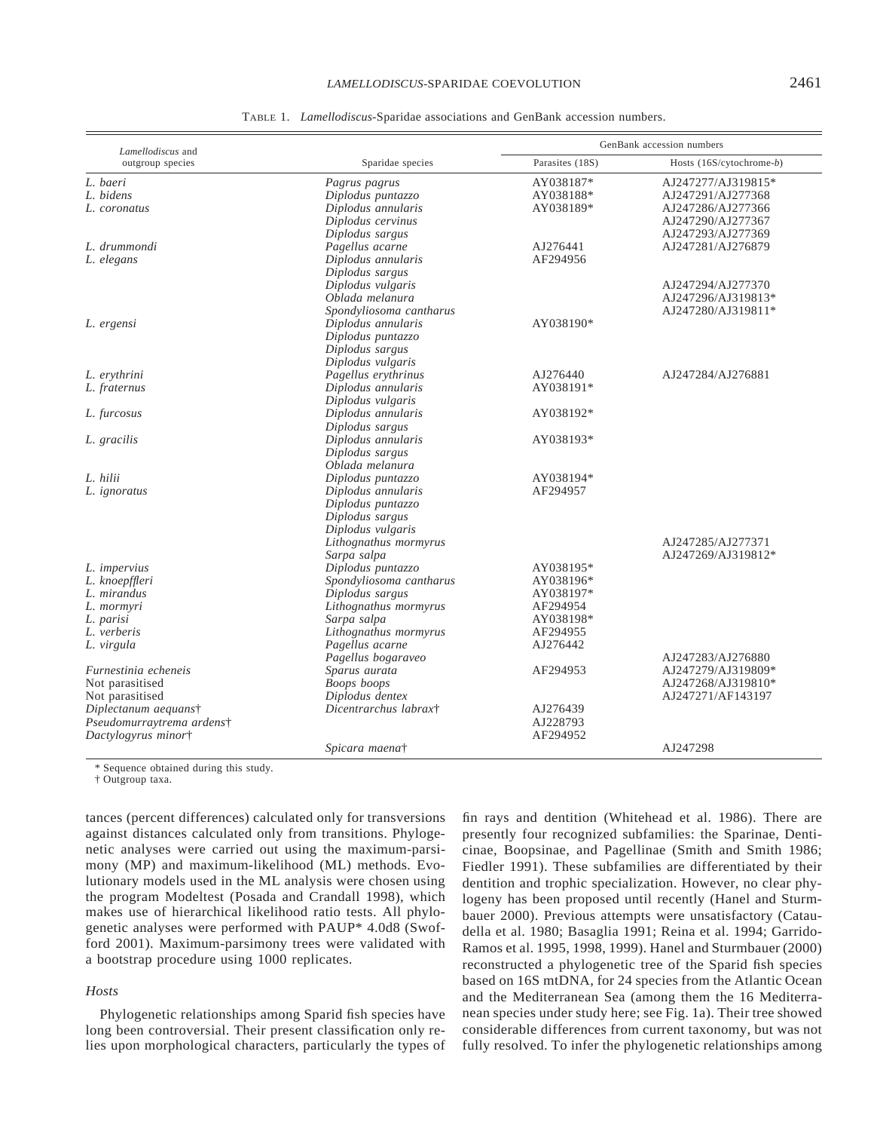| outgroup species<br>Sparidae species<br>Parasites (18S)<br>Hosts (16S/cytochrome-b)<br>L. baeri<br>Pagrus pagrus<br>AY038187*<br>AJ247277/AJ319815*<br>L. bidens<br>Diplodus puntazzo<br>AY038188*<br>AJ247291/AJ277368<br>Diplodus annularis<br>AY038189*<br>AJ247286/AJ277366<br>L. coronatus<br>Diplodus cervinus<br>AJ247290/AJ277367<br>Diplodus sargus<br>AJ247293/AJ277369<br>L. drummondi<br>Pagellus acarne<br>AJ276441<br>AJ247281/AJ276879<br>Diplodus annularis<br>AF294956<br>L. elegans<br>Diplodus sargus<br>Diplodus vulgaris<br>AJ247294/AJ277370<br>Oblada melanura<br>AJ247296/AJ319813*<br>Spondyliosoma cantharus<br>AJ247280/AJ319811*<br>AY038190*<br>Diplodus annularis<br>L. ergensi<br>Diplodus puntazzo<br>Diplodus sargus<br>Diplodus vulgaris<br>Pagellus erythrinus<br>L. erythrini<br>AJ276440<br>AJ247284/AJ276881<br>Diplodus annularis<br>AY038191*<br>L. fraternus<br>Diplodus vulgaris<br>Diplodus annularis<br>AY038192*<br>L. furcosus<br>Diplodus sargus<br>Diplodus annularis<br>AY038193*<br>L. gracilis<br>Diplodus sargus<br>Oblada melanura<br>L. hilii<br>Diplodus puntazzo<br>AY038194*<br>Diplodus annularis<br>AF294957<br>L. <i>ignoratus</i><br>Diplodus puntazzo<br>Diplodus sargus<br>Diplodus vulgaris<br>AJ247285/AJ277371<br>Lithognathus mormyrus<br>Sarpa salpa<br>AJ247269/AJ319812*<br>Diplodus puntazzo<br>AY038195*<br>L. impervius<br>Spondyliosoma cantharus<br>L. knoepffleri<br>AY038196*<br>Diplodus sargus<br>AY038197*<br>L. mirandus<br>L. mormyri<br>Lithognathus mormyrus<br>AF294954<br>L. parisi<br>Sarpa salpa<br>AY038198*<br>Lithognathus mormyrus<br>AF294955<br>L. verberis<br>Pagellus acarne<br>AJ276442<br>L. virgula<br>Pagellus bogaraveo<br>AJ247283/AJ276880<br>Sparus aurata<br>AF294953<br>AJ247279/AJ319809*<br>Furnestinia echeneis<br>Boops boops<br>AJ247268/AJ319810*<br>Not parasitised<br>Not parasitised<br>Diplodus dentex<br>AJ247271/AF143197<br>Diplectanum aequans†<br>Dicentrarchus labrax†<br>AJ276439<br>Pseudomurraytrema ardens†<br>AJ228793<br>Dactylogyrus minor†<br>AF294952<br>Spicara maena <sup>†</sup><br>AJ247298 | Lamellodiscus and | GenBank accession numbers |  |  |
|------------------------------------------------------------------------------------------------------------------------------------------------------------------------------------------------------------------------------------------------------------------------------------------------------------------------------------------------------------------------------------------------------------------------------------------------------------------------------------------------------------------------------------------------------------------------------------------------------------------------------------------------------------------------------------------------------------------------------------------------------------------------------------------------------------------------------------------------------------------------------------------------------------------------------------------------------------------------------------------------------------------------------------------------------------------------------------------------------------------------------------------------------------------------------------------------------------------------------------------------------------------------------------------------------------------------------------------------------------------------------------------------------------------------------------------------------------------------------------------------------------------------------------------------------------------------------------------------------------------------------------------------------------------------------------------------------------------------------------------------------------------------------------------------------------------------------------------------------------------------------------------------------------------------------------------------------------------------------------------------------------------------------------------------------------------------------------------------------------------------------------|-------------------|---------------------------|--|--|
|                                                                                                                                                                                                                                                                                                                                                                                                                                                                                                                                                                                                                                                                                                                                                                                                                                                                                                                                                                                                                                                                                                                                                                                                                                                                                                                                                                                                                                                                                                                                                                                                                                                                                                                                                                                                                                                                                                                                                                                                                                                                                                                                    |                   |                           |  |  |
|                                                                                                                                                                                                                                                                                                                                                                                                                                                                                                                                                                                                                                                                                                                                                                                                                                                                                                                                                                                                                                                                                                                                                                                                                                                                                                                                                                                                                                                                                                                                                                                                                                                                                                                                                                                                                                                                                                                                                                                                                                                                                                                                    |                   |                           |  |  |
|                                                                                                                                                                                                                                                                                                                                                                                                                                                                                                                                                                                                                                                                                                                                                                                                                                                                                                                                                                                                                                                                                                                                                                                                                                                                                                                                                                                                                                                                                                                                                                                                                                                                                                                                                                                                                                                                                                                                                                                                                                                                                                                                    |                   |                           |  |  |
|                                                                                                                                                                                                                                                                                                                                                                                                                                                                                                                                                                                                                                                                                                                                                                                                                                                                                                                                                                                                                                                                                                                                                                                                                                                                                                                                                                                                                                                                                                                                                                                                                                                                                                                                                                                                                                                                                                                                                                                                                                                                                                                                    |                   |                           |  |  |
|                                                                                                                                                                                                                                                                                                                                                                                                                                                                                                                                                                                                                                                                                                                                                                                                                                                                                                                                                                                                                                                                                                                                                                                                                                                                                                                                                                                                                                                                                                                                                                                                                                                                                                                                                                                                                                                                                                                                                                                                                                                                                                                                    |                   |                           |  |  |
|                                                                                                                                                                                                                                                                                                                                                                                                                                                                                                                                                                                                                                                                                                                                                                                                                                                                                                                                                                                                                                                                                                                                                                                                                                                                                                                                                                                                                                                                                                                                                                                                                                                                                                                                                                                                                                                                                                                                                                                                                                                                                                                                    |                   |                           |  |  |
|                                                                                                                                                                                                                                                                                                                                                                                                                                                                                                                                                                                                                                                                                                                                                                                                                                                                                                                                                                                                                                                                                                                                                                                                                                                                                                                                                                                                                                                                                                                                                                                                                                                                                                                                                                                                                                                                                                                                                                                                                                                                                                                                    |                   |                           |  |  |
|                                                                                                                                                                                                                                                                                                                                                                                                                                                                                                                                                                                                                                                                                                                                                                                                                                                                                                                                                                                                                                                                                                                                                                                                                                                                                                                                                                                                                                                                                                                                                                                                                                                                                                                                                                                                                                                                                                                                                                                                                                                                                                                                    |                   |                           |  |  |
|                                                                                                                                                                                                                                                                                                                                                                                                                                                                                                                                                                                                                                                                                                                                                                                                                                                                                                                                                                                                                                                                                                                                                                                                                                                                                                                                                                                                                                                                                                                                                                                                                                                                                                                                                                                                                                                                                                                                                                                                                                                                                                                                    |                   |                           |  |  |
|                                                                                                                                                                                                                                                                                                                                                                                                                                                                                                                                                                                                                                                                                                                                                                                                                                                                                                                                                                                                                                                                                                                                                                                                                                                                                                                                                                                                                                                                                                                                                                                                                                                                                                                                                                                                                                                                                                                                                                                                                                                                                                                                    |                   |                           |  |  |
|                                                                                                                                                                                                                                                                                                                                                                                                                                                                                                                                                                                                                                                                                                                                                                                                                                                                                                                                                                                                                                                                                                                                                                                                                                                                                                                                                                                                                                                                                                                                                                                                                                                                                                                                                                                                                                                                                                                                                                                                                                                                                                                                    |                   |                           |  |  |
|                                                                                                                                                                                                                                                                                                                                                                                                                                                                                                                                                                                                                                                                                                                                                                                                                                                                                                                                                                                                                                                                                                                                                                                                                                                                                                                                                                                                                                                                                                                                                                                                                                                                                                                                                                                                                                                                                                                                                                                                                                                                                                                                    |                   |                           |  |  |
|                                                                                                                                                                                                                                                                                                                                                                                                                                                                                                                                                                                                                                                                                                                                                                                                                                                                                                                                                                                                                                                                                                                                                                                                                                                                                                                                                                                                                                                                                                                                                                                                                                                                                                                                                                                                                                                                                                                                                                                                                                                                                                                                    |                   |                           |  |  |
|                                                                                                                                                                                                                                                                                                                                                                                                                                                                                                                                                                                                                                                                                                                                                                                                                                                                                                                                                                                                                                                                                                                                                                                                                                                                                                                                                                                                                                                                                                                                                                                                                                                                                                                                                                                                                                                                                                                                                                                                                                                                                                                                    |                   |                           |  |  |
|                                                                                                                                                                                                                                                                                                                                                                                                                                                                                                                                                                                                                                                                                                                                                                                                                                                                                                                                                                                                                                                                                                                                                                                                                                                                                                                                                                                                                                                                                                                                                                                                                                                                                                                                                                                                                                                                                                                                                                                                                                                                                                                                    |                   |                           |  |  |
|                                                                                                                                                                                                                                                                                                                                                                                                                                                                                                                                                                                                                                                                                                                                                                                                                                                                                                                                                                                                                                                                                                                                                                                                                                                                                                                                                                                                                                                                                                                                                                                                                                                                                                                                                                                                                                                                                                                                                                                                                                                                                                                                    |                   |                           |  |  |
|                                                                                                                                                                                                                                                                                                                                                                                                                                                                                                                                                                                                                                                                                                                                                                                                                                                                                                                                                                                                                                                                                                                                                                                                                                                                                                                                                                                                                                                                                                                                                                                                                                                                                                                                                                                                                                                                                                                                                                                                                                                                                                                                    |                   |                           |  |  |
|                                                                                                                                                                                                                                                                                                                                                                                                                                                                                                                                                                                                                                                                                                                                                                                                                                                                                                                                                                                                                                                                                                                                                                                                                                                                                                                                                                                                                                                                                                                                                                                                                                                                                                                                                                                                                                                                                                                                                                                                                                                                                                                                    |                   |                           |  |  |
|                                                                                                                                                                                                                                                                                                                                                                                                                                                                                                                                                                                                                                                                                                                                                                                                                                                                                                                                                                                                                                                                                                                                                                                                                                                                                                                                                                                                                                                                                                                                                                                                                                                                                                                                                                                                                                                                                                                                                                                                                                                                                                                                    |                   |                           |  |  |
|                                                                                                                                                                                                                                                                                                                                                                                                                                                                                                                                                                                                                                                                                                                                                                                                                                                                                                                                                                                                                                                                                                                                                                                                                                                                                                                                                                                                                                                                                                                                                                                                                                                                                                                                                                                                                                                                                                                                                                                                                                                                                                                                    |                   |                           |  |  |
|                                                                                                                                                                                                                                                                                                                                                                                                                                                                                                                                                                                                                                                                                                                                                                                                                                                                                                                                                                                                                                                                                                                                                                                                                                                                                                                                                                                                                                                                                                                                                                                                                                                                                                                                                                                                                                                                                                                                                                                                                                                                                                                                    |                   |                           |  |  |
|                                                                                                                                                                                                                                                                                                                                                                                                                                                                                                                                                                                                                                                                                                                                                                                                                                                                                                                                                                                                                                                                                                                                                                                                                                                                                                                                                                                                                                                                                                                                                                                                                                                                                                                                                                                                                                                                                                                                                                                                                                                                                                                                    |                   |                           |  |  |
|                                                                                                                                                                                                                                                                                                                                                                                                                                                                                                                                                                                                                                                                                                                                                                                                                                                                                                                                                                                                                                                                                                                                                                                                                                                                                                                                                                                                                                                                                                                                                                                                                                                                                                                                                                                                                                                                                                                                                                                                                                                                                                                                    |                   |                           |  |  |
|                                                                                                                                                                                                                                                                                                                                                                                                                                                                                                                                                                                                                                                                                                                                                                                                                                                                                                                                                                                                                                                                                                                                                                                                                                                                                                                                                                                                                                                                                                                                                                                                                                                                                                                                                                                                                                                                                                                                                                                                                                                                                                                                    |                   |                           |  |  |
|                                                                                                                                                                                                                                                                                                                                                                                                                                                                                                                                                                                                                                                                                                                                                                                                                                                                                                                                                                                                                                                                                                                                                                                                                                                                                                                                                                                                                                                                                                                                                                                                                                                                                                                                                                                                                                                                                                                                                                                                                                                                                                                                    |                   |                           |  |  |
|                                                                                                                                                                                                                                                                                                                                                                                                                                                                                                                                                                                                                                                                                                                                                                                                                                                                                                                                                                                                                                                                                                                                                                                                                                                                                                                                                                                                                                                                                                                                                                                                                                                                                                                                                                                                                                                                                                                                                                                                                                                                                                                                    |                   |                           |  |  |
|                                                                                                                                                                                                                                                                                                                                                                                                                                                                                                                                                                                                                                                                                                                                                                                                                                                                                                                                                                                                                                                                                                                                                                                                                                                                                                                                                                                                                                                                                                                                                                                                                                                                                                                                                                                                                                                                                                                                                                                                                                                                                                                                    |                   |                           |  |  |
|                                                                                                                                                                                                                                                                                                                                                                                                                                                                                                                                                                                                                                                                                                                                                                                                                                                                                                                                                                                                                                                                                                                                                                                                                                                                                                                                                                                                                                                                                                                                                                                                                                                                                                                                                                                                                                                                                                                                                                                                                                                                                                                                    |                   |                           |  |  |
|                                                                                                                                                                                                                                                                                                                                                                                                                                                                                                                                                                                                                                                                                                                                                                                                                                                                                                                                                                                                                                                                                                                                                                                                                                                                                                                                                                                                                                                                                                                                                                                                                                                                                                                                                                                                                                                                                                                                                                                                                                                                                                                                    |                   |                           |  |  |
|                                                                                                                                                                                                                                                                                                                                                                                                                                                                                                                                                                                                                                                                                                                                                                                                                                                                                                                                                                                                                                                                                                                                                                                                                                                                                                                                                                                                                                                                                                                                                                                                                                                                                                                                                                                                                                                                                                                                                                                                                                                                                                                                    |                   |                           |  |  |
|                                                                                                                                                                                                                                                                                                                                                                                                                                                                                                                                                                                                                                                                                                                                                                                                                                                                                                                                                                                                                                                                                                                                                                                                                                                                                                                                                                                                                                                                                                                                                                                                                                                                                                                                                                                                                                                                                                                                                                                                                                                                                                                                    |                   |                           |  |  |
|                                                                                                                                                                                                                                                                                                                                                                                                                                                                                                                                                                                                                                                                                                                                                                                                                                                                                                                                                                                                                                                                                                                                                                                                                                                                                                                                                                                                                                                                                                                                                                                                                                                                                                                                                                                                                                                                                                                                                                                                                                                                                                                                    |                   |                           |  |  |
|                                                                                                                                                                                                                                                                                                                                                                                                                                                                                                                                                                                                                                                                                                                                                                                                                                                                                                                                                                                                                                                                                                                                                                                                                                                                                                                                                                                                                                                                                                                                                                                                                                                                                                                                                                                                                                                                                                                                                                                                                                                                                                                                    |                   |                           |  |  |
|                                                                                                                                                                                                                                                                                                                                                                                                                                                                                                                                                                                                                                                                                                                                                                                                                                                                                                                                                                                                                                                                                                                                                                                                                                                                                                                                                                                                                                                                                                                                                                                                                                                                                                                                                                                                                                                                                                                                                                                                                                                                                                                                    |                   |                           |  |  |
|                                                                                                                                                                                                                                                                                                                                                                                                                                                                                                                                                                                                                                                                                                                                                                                                                                                                                                                                                                                                                                                                                                                                                                                                                                                                                                                                                                                                                                                                                                                                                                                                                                                                                                                                                                                                                                                                                                                                                                                                                                                                                                                                    |                   |                           |  |  |
|                                                                                                                                                                                                                                                                                                                                                                                                                                                                                                                                                                                                                                                                                                                                                                                                                                                                                                                                                                                                                                                                                                                                                                                                                                                                                                                                                                                                                                                                                                                                                                                                                                                                                                                                                                                                                                                                                                                                                                                                                                                                                                                                    |                   |                           |  |  |
|                                                                                                                                                                                                                                                                                                                                                                                                                                                                                                                                                                                                                                                                                                                                                                                                                                                                                                                                                                                                                                                                                                                                                                                                                                                                                                                                                                                                                                                                                                                                                                                                                                                                                                                                                                                                                                                                                                                                                                                                                                                                                                                                    |                   |                           |  |  |
|                                                                                                                                                                                                                                                                                                                                                                                                                                                                                                                                                                                                                                                                                                                                                                                                                                                                                                                                                                                                                                                                                                                                                                                                                                                                                                                                                                                                                                                                                                                                                                                                                                                                                                                                                                                                                                                                                                                                                                                                                                                                                                                                    |                   |                           |  |  |
|                                                                                                                                                                                                                                                                                                                                                                                                                                                                                                                                                                                                                                                                                                                                                                                                                                                                                                                                                                                                                                                                                                                                                                                                                                                                                                                                                                                                                                                                                                                                                                                                                                                                                                                                                                                                                                                                                                                                                                                                                                                                                                                                    |                   |                           |  |  |
|                                                                                                                                                                                                                                                                                                                                                                                                                                                                                                                                                                                                                                                                                                                                                                                                                                                                                                                                                                                                                                                                                                                                                                                                                                                                                                                                                                                                                                                                                                                                                                                                                                                                                                                                                                                                                                                                                                                                                                                                                                                                                                                                    |                   |                           |  |  |
|                                                                                                                                                                                                                                                                                                                                                                                                                                                                                                                                                                                                                                                                                                                                                                                                                                                                                                                                                                                                                                                                                                                                                                                                                                                                                                                                                                                                                                                                                                                                                                                                                                                                                                                                                                                                                                                                                                                                                                                                                                                                                                                                    |                   |                           |  |  |
|                                                                                                                                                                                                                                                                                                                                                                                                                                                                                                                                                                                                                                                                                                                                                                                                                                                                                                                                                                                                                                                                                                                                                                                                                                                                                                                                                                                                                                                                                                                                                                                                                                                                                                                                                                                                                                                                                                                                                                                                                                                                                                                                    |                   |                           |  |  |
|                                                                                                                                                                                                                                                                                                                                                                                                                                                                                                                                                                                                                                                                                                                                                                                                                                                                                                                                                                                                                                                                                                                                                                                                                                                                                                                                                                                                                                                                                                                                                                                                                                                                                                                                                                                                                                                                                                                                                                                                                                                                                                                                    |                   |                           |  |  |
|                                                                                                                                                                                                                                                                                                                                                                                                                                                                                                                                                                                                                                                                                                                                                                                                                                                                                                                                                                                                                                                                                                                                                                                                                                                                                                                                                                                                                                                                                                                                                                                                                                                                                                                                                                                                                                                                                                                                                                                                                                                                                                                                    |                   |                           |  |  |
|                                                                                                                                                                                                                                                                                                                                                                                                                                                                                                                                                                                                                                                                                                                                                                                                                                                                                                                                                                                                                                                                                                                                                                                                                                                                                                                                                                                                                                                                                                                                                                                                                                                                                                                                                                                                                                                                                                                                                                                                                                                                                                                                    |                   |                           |  |  |
|                                                                                                                                                                                                                                                                                                                                                                                                                                                                                                                                                                                                                                                                                                                                                                                                                                                                                                                                                                                                                                                                                                                                                                                                                                                                                                                                                                                                                                                                                                                                                                                                                                                                                                                                                                                                                                                                                                                                                                                                                                                                                                                                    |                   |                           |  |  |

| TABLE 1. <i>Lamellodiscus</i> -Sparidae associations and GenBank accession numbers. |
|-------------------------------------------------------------------------------------|
|-------------------------------------------------------------------------------------|

\* Sequence obtained during this study.

† Outgroup taxa.

tances (percent differences) calculated only for transversions against distances calculated only from transitions. Phylogenetic analyses were carried out using the maximum-parsimony (MP) and maximum-likelihood (ML) methods. Evolutionary models used in the ML analysis were chosen using the program Modeltest (Posada and Crandall 1998), which makes use of hierarchical likelihood ratio tests. All phylogenetic analyses were performed with PAUP\* 4.0d8 (Swofford 2001). Maximum-parsimony trees were validated with a bootstrap procedure using 1000 replicates.

# *Hosts*

Phylogenetic relationships among Sparid fish species have long been controversial. Their present classification only relies upon morphological characters, particularly the types of fin rays and dentition (Whitehead et al. 1986). There are presently four recognized subfamilies: the Sparinae, Denticinae, Boopsinae, and Pagellinae (Smith and Smith 1986; Fiedler 1991). These subfamilies are differentiated by their dentition and trophic specialization. However, no clear phylogeny has been proposed until recently (Hanel and Sturmbauer 2000). Previous attempts were unsatisfactory (Cataudella et al. 1980; Basaglia 1991; Reina et al. 1994; Garrido-Ramos et al. 1995, 1998, 1999). Hanel and Sturmbauer (2000) reconstructed a phylogenetic tree of the Sparid fish species based on 16S mtDNA, for 24 species from the Atlantic Ocean and the Mediterranean Sea (among them the 16 Mediterranean species under study here; see Fig. 1a). Their tree showed considerable differences from current taxonomy, but was not fully resolved. To infer the phylogenetic relationships among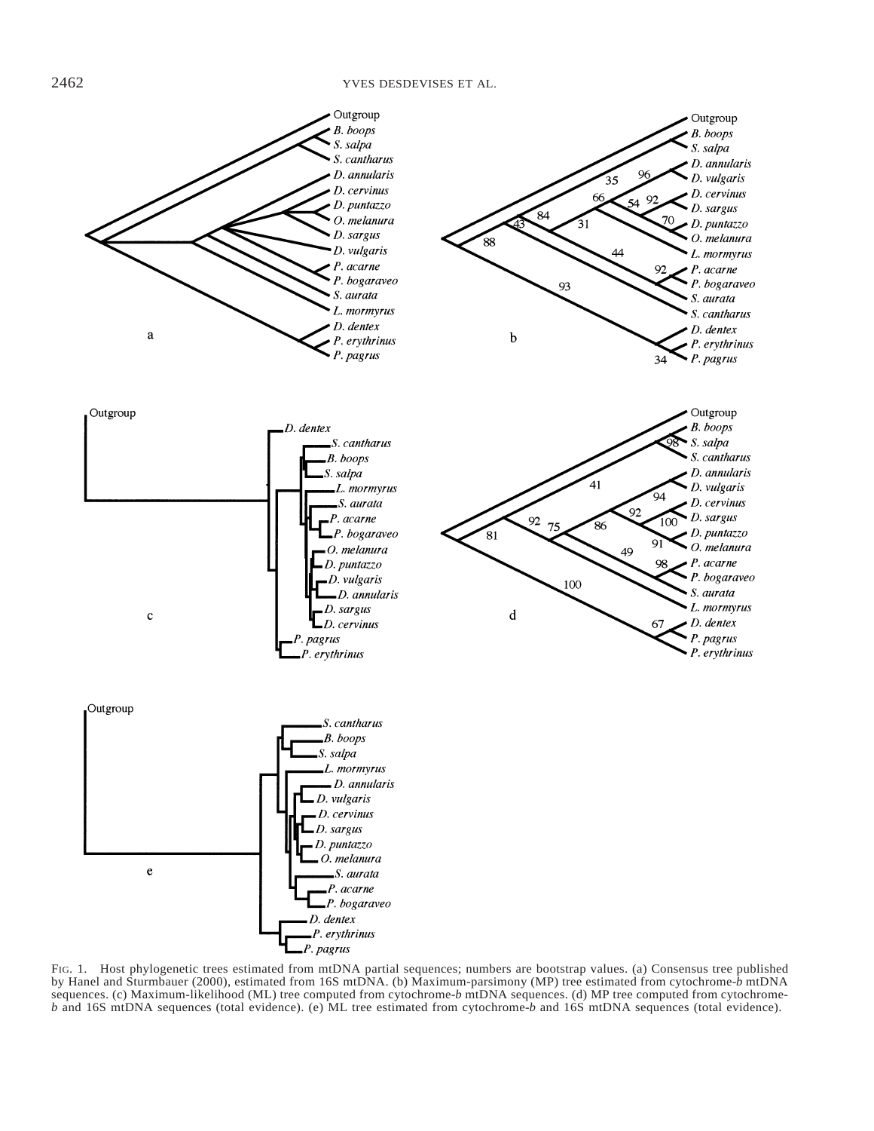

FIG. 1. Host phylogenetic trees estimated from mtDNA partial sequences; numbers are bootstrap values. (a) Consensus tree published by Hanel and Sturmbauer (2000), estimated from 16S mtDNA. (b) Maximum-parsimony (MP) tree estimated from cytochrome-*b* mtDNA sequences. (c) Maximum-likelihood (ML) tree computed from cytochrome-*b* mtDNA sequences. (d) MP tree computed from cytochrome*b* and 16S mtDNA sequences (total evidence). (e) ML tree estimated from cytochrome-*b* and 16S mtDNA sequences (total evidence).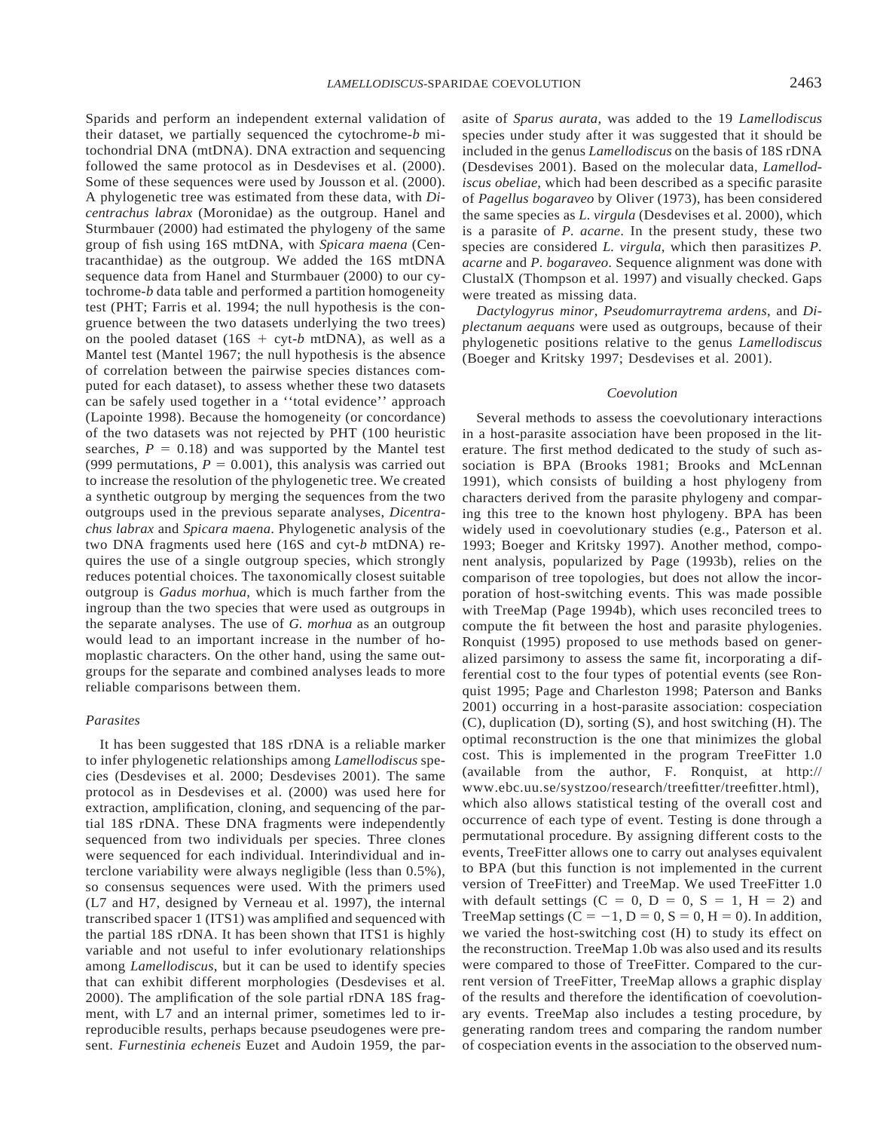Sparids and perform an independent external validation of their dataset, we partially sequenced the cytochrome-*b* mitochondrial DNA (mtDNA). DNA extraction and sequencing followed the same protocol as in Desdevises et al. (2000). Some of these sequences were used by Jousson et al. (2000). A phylogenetic tree was estimated from these data, with *Dicentrachus labrax* (Moronidae) as the outgroup. Hanel and Sturmbauer (2000) had estimated the phylogeny of the same group of fish using 16S mtDNA, with *Spicara maena* (Centracanthidae) as the outgroup. We added the 16S mtDNA sequence data from Hanel and Sturmbauer (2000) to our cytochrome-*b* data table and performed a partition homogeneity test (PHT; Farris et al. 1994; the null hypothesis is the congruence between the two datasets underlying the two trees) on the pooled dataset (16S + cyt-*b* mtDNA), as well as a Mantel test (Mantel 1967; the null hypothesis is the absence of correlation between the pairwise species distances computed for each dataset), to assess whether these two datasets can be safely used together in a ''total evidence'' approach (Lapointe 1998). Because the homogeneity (or concordance) of the two datasets was not rejected by PHT (100 heuristic searches,  $P = 0.18$ ) and was supported by the Mantel test (999 permutations,  $P = 0.001$ ), this analysis was carried out to increase the resolution of the phylogenetic tree. We created a synthetic outgroup by merging the sequences from the two outgroups used in the previous separate analyses, *Dicentrachus labrax* and *Spicara maena*. Phylogenetic analysis of the two DNA fragments used here (16S and cyt-*b* mtDNA) requires the use of a single outgroup species, which strongly reduces potential choices. The taxonomically closest suitable outgroup is *Gadus morhua*, which is much farther from the ingroup than the two species that were used as outgroups in the separate analyses. The use of *G. morhua* as an outgroup would lead to an important increase in the number of homoplastic characters. On the other hand, using the same outgroups for the separate and combined analyses leads to more reliable comparisons between them.

# *Parasites*

It has been suggested that 18S rDNA is a reliable marker to infer phylogenetic relationships among *Lamellodiscus* species (Desdevises et al. 2000; Desdevises 2001). The same protocol as in Desdevises et al. (2000) was used here for extraction, amplification, cloning, and sequencing of the partial 18S rDNA. These DNA fragments were independently sequenced from two individuals per species. Three clones were sequenced for each individual. Interindividual and interclone variability were always negligible (less than 0.5%), so consensus sequences were used. With the primers used (L7 and H7, designed by Verneau et al. 1997), the internal transcribed spacer 1 (ITS1) was amplified and sequenced with the partial 18S rDNA. It has been shown that ITS1 is highly variable and not useful to infer evolutionary relationships among *Lamellodiscus*, but it can be used to identify species that can exhibit different morphologies (Desdevises et al. 2000). The amplification of the sole partial rDNA 18S fragment, with L7 and an internal primer, sometimes led to irreproducible results, perhaps because pseudogenes were present. *Furnestinia echeneis* Euzet and Audoin 1959, the parasite of *Sparus aurata*, was added to the 19 *Lamellodiscus* species under study after it was suggested that it should be included in the genus *Lamellodiscus* on the basis of 18S rDNA (Desdevises 2001). Based on the molecular data, *Lamellodiscus obeliae*, which had been described as a specific parasite of *Pagellus bogaraveo* by Oliver (1973), has been considered the same species as *L. virgula* (Desdevises et al. 2000), which is a parasite of *P. acarne*. In the present study, these two species are considered *L. virgula*, which then parasitizes *P. acarne* and *P. bogaraveo*. Sequence alignment was done with ClustalX (Thompson et al. 1997) and visually checked. Gaps were treated as missing data.

*Dactylogyrus minor*, *Pseudomurraytrema ardens*, and *Diplectanum aequans* were used as outgroups, because of their phylogenetic positions relative to the genus *Lamellodiscus* (Boeger and Kritsky 1997; Desdevises et al. 2001).

## *Coevolution*

Several methods to assess the coevolutionary interactions in a host-parasite association have been proposed in the literature. The first method dedicated to the study of such association is BPA (Brooks 1981; Brooks and McLennan 1991), which consists of building a host phylogeny from characters derived from the parasite phylogeny and comparing this tree to the known host phylogeny. BPA has been widely used in coevolutionary studies (e.g., Paterson et al. 1993; Boeger and Kritsky 1997). Another method, component analysis, popularized by Page (1993b), relies on the comparison of tree topologies, but does not allow the incorporation of host-switching events. This was made possible with TreeMap (Page 1994b), which uses reconciled trees to compute the fit between the host and parasite phylogenies. Ronquist (1995) proposed to use methods based on generalized parsimony to assess the same fit, incorporating a differential cost to the four types of potential events (see Ronquist 1995; Page and Charleston 1998; Paterson and Banks 2001) occurring in a host-parasite association: cospeciation (C), duplication (D), sorting (S), and host switching (H). The optimal reconstruction is the one that minimizes the global cost. This is implemented in the program TreeFitter 1.0 (available from the author, F. Ronquist, at http:// www.ebc.uu.se/systzoo/research/treefitter/treefitter.html), which also allows statistical testing of the overall cost and occurrence of each type of event. Testing is done through a permutational procedure. By assigning different costs to the events, TreeFitter allows one to carry out analyses equivalent to BPA (but this function is not implemented in the current version of TreeFitter) and TreeMap. We used TreeFitter 1.0 with default settings  $(C = 0, D = 0, S = 1, H = 2)$  and TreeMap settings ( $C = -1$ ,  $D = 0$ ,  $S = 0$ ,  $H = 0$ ). In addition, we varied the host-switching cost (H) to study its effect on the reconstruction. TreeMap 1.0b was also used and its results were compared to those of TreeFitter. Compared to the current version of TreeFitter, TreeMap allows a graphic display of the results and therefore the identification of coevolutionary events. TreeMap also includes a testing procedure, by generating random trees and comparing the random number of cospeciation events in the association to the observed num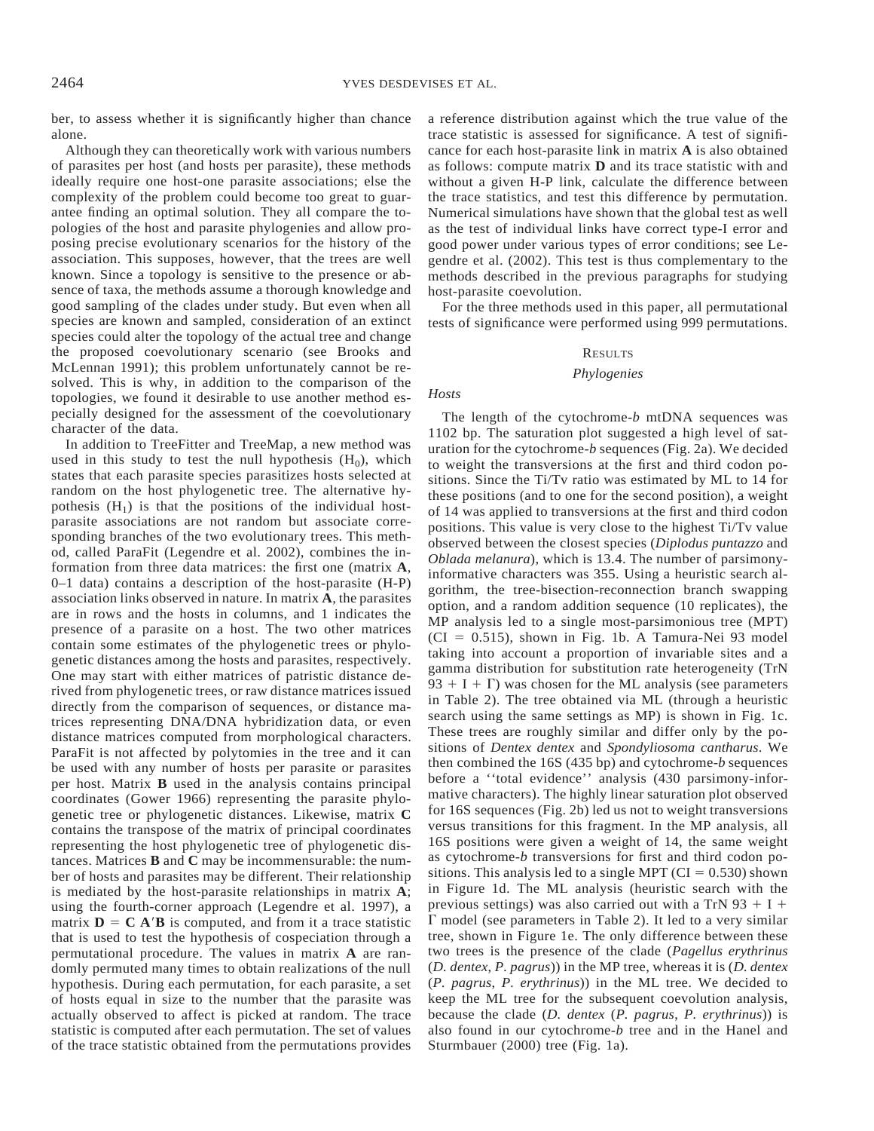ber, to assess whether it is significantly higher than chance alone.

Although they can theoretically work with various numbers of parasites per host (and hosts per parasite), these methods ideally require one host-one parasite associations; else the complexity of the problem could become too great to guarantee finding an optimal solution. They all compare the topologies of the host and parasite phylogenies and allow proposing precise evolutionary scenarios for the history of the association. This supposes, however, that the trees are well known. Since a topology is sensitive to the presence or absence of taxa, the methods assume a thorough knowledge and good sampling of the clades under study. But even when all species are known and sampled, consideration of an extinct species could alter the topology of the actual tree and change the proposed coevolutionary scenario (see Brooks and McLennan 1991); this problem unfortunately cannot be resolved. This is why, in addition to the comparison of the topologies, we found it desirable to use another method especially designed for the assessment of the coevolutionary character of the data.

In addition to TreeFitter and TreeMap, a new method was used in this study to test the null hypothesis  $(H_0)$ , which states that each parasite species parasitizes hosts selected at random on the host phylogenetic tree. The alternative hypothesis  $(H_1)$  is that the positions of the individual hostparasite associations are not random but associate corresponding branches of the two evolutionary trees. This method, called ParaFit (Legendre et al. 2002), combines the information from three data matrices: the first one (matrix **A**, 0–1 data) contains a description of the host-parasite (H-P) association links observed in nature. In matrix **A**, the parasites are in rows and the hosts in columns, and 1 indicates the presence of a parasite on a host. The two other matrices contain some estimates of the phylogenetic trees or phylogenetic distances among the hosts and parasites, respectively. One may start with either matrices of patristic distance derived from phylogenetic trees, or raw distance matrices issued directly from the comparison of sequences, or distance matrices representing DNA/DNA hybridization data, or even distance matrices computed from morphological characters. ParaFit is not affected by polytomies in the tree and it can be used with any number of hosts per parasite or parasites per host. Matrix **B** used in the analysis contains principal coordinates (Gower 1966) representing the parasite phylogenetic tree or phylogenetic distances. Likewise, matrix **C** contains the transpose of the matrix of principal coordinates representing the host phylogenetic tree of phylogenetic distances. Matrices **B** and **C** may be incommensurable: the number of hosts and parasites may be different. Their relationship is mediated by the host-parasite relationships in matrix **A**; using the fourth-corner approach (Legendre et al. 1997), a matrix  $\mathbf{D} = \mathbf{C} \mathbf{A}' \mathbf{B}$  is computed, and from it a trace statistic that is used to test the hypothesis of cospeciation through a permutational procedure. The values in matrix **A** are randomly permuted many times to obtain realizations of the null hypothesis. During each permutation, for each parasite, a set of hosts equal in size to the number that the parasite was actually observed to affect is picked at random. The trace statistic is computed after each permutation. The set of values of the trace statistic obtained from the permutations provides a reference distribution against which the true value of the trace statistic is assessed for significance. A test of significance for each host-parasite link in matrix **A** is also obtained as follows: compute matrix **D** and its trace statistic with and without a given H-P link, calculate the difference between the trace statistics, and test this difference by permutation. Numerical simulations have shown that the global test as well as the test of individual links have correct type-I error and good power under various types of error conditions; see Legendre et al. (2002). This test is thus complementary to the methods described in the previous paragraphs for studying host-parasite coevolution.

For the three methods used in this paper, all permutational tests of significance were performed using 999 permutations.

#### RESULTS

#### *Phylogenies*

*Hosts*

The length of the cytochrome-*b* mtDNA sequences was 1102 bp. The saturation plot suggested a high level of saturation for the cytochrome-*b* sequences (Fig. 2a). We decided to weight the transversions at the first and third codon positions. Since the Ti/Tv ratio was estimated by ML to 14 for these positions (and to one for the second position), a weight of 14 was applied to transversions at the first and third codon positions. This value is very close to the highest Ti/Tv value observed between the closest species (*Diplodus puntazzo* and *Oblada melanura*), which is 13.4. The number of parsimonyinformative characters was 355. Using a heuristic search algorithm, the tree-bisection-reconnection branch swapping option, and a random addition sequence (10 replicates), the MP analysis led to a single most-parsimonious tree (MPT)  $(CI = 0.515)$ , shown in Fig. 1b. A Tamura-Nei 93 model taking into account a proportion of invariable sites and a gamma distribution for substitution rate heterogeneity (TrN  $93 + I + \Gamma$ ) was chosen for the ML analysis (see parameters in Table 2). The tree obtained via ML (through a heuristic search using the same settings as MP) is shown in Fig. 1c. These trees are roughly similar and differ only by the positions of *Dentex dentex* and *Spondyliosoma cantharus*. We then combined the 16S (435 bp) and cytochrome-*b* sequences before a ''total evidence'' analysis (430 parsimony-informative characters). The highly linear saturation plot observed for 16S sequences (Fig. 2b) led us not to weight transversions versus transitions for this fragment. In the MP analysis, all 16S positions were given a weight of 14, the same weight as cytochrome-*b* transversions for first and third codon positions. This analysis led to a single MPT ( $CI = 0.530$ ) shown in Figure 1d. The ML analysis (heuristic search with the previous settings) was also carried out with a TrN 93 + I +  $\Gamma$  model (see parameters in Table 2). It led to a very similar tree, shown in Figure 1e. The only difference between these two trees is the presence of the clade (*Pagellus erythrinus* (*D. dentex*, *P. pagrus*)) in the MP tree, whereas it is (*D. dentex* (*P. pagrus*, *P. erythrinus*)) in the ML tree. We decided to keep the ML tree for the subsequent coevolution analysis, because the clade (*D. dentex* (*P. pagrus*, *P. erythrinus*)) is also found in our cytochrome-*b* tree and in the Hanel and Sturmbauer (2000) tree (Fig. 1a).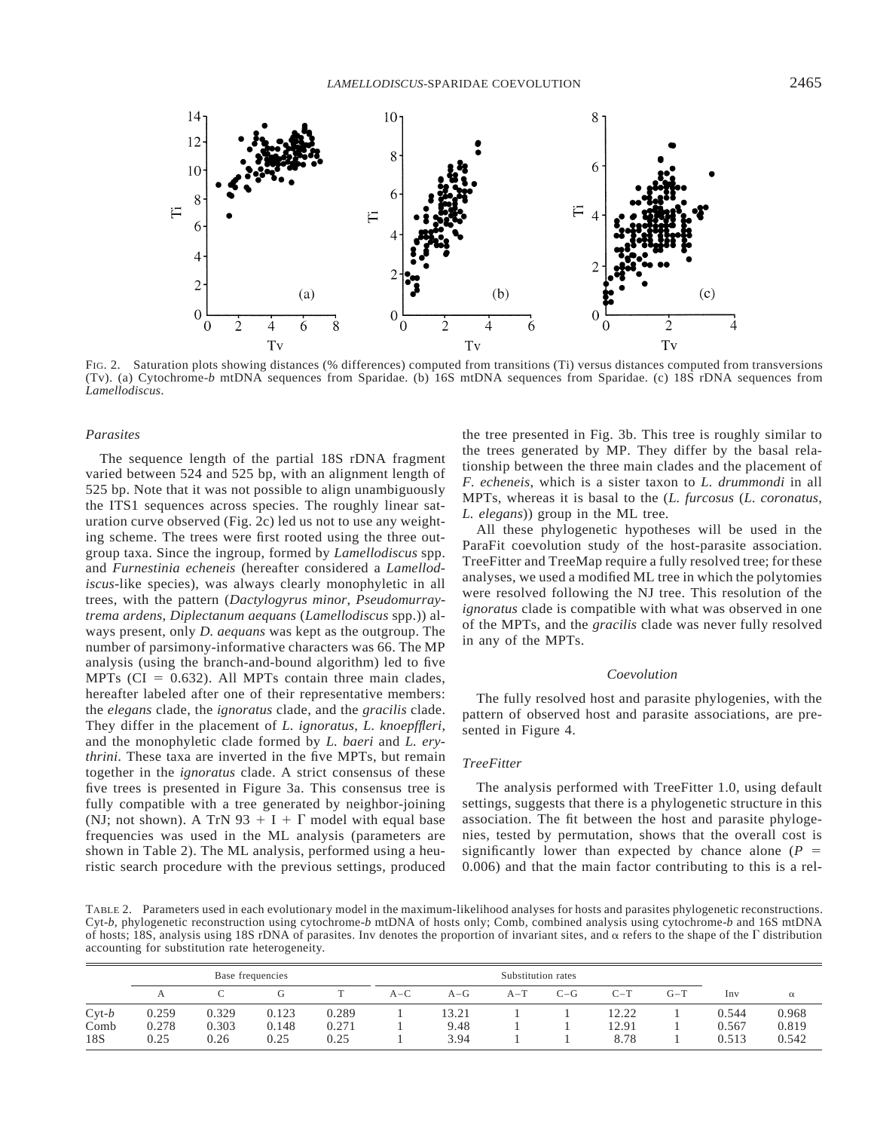

FIG. 2. Saturation plots showing distances (% differences) computed from transitions (Ti) versus distances computed from transversions (Tv). (a) Cytochrome-*b* mtDNA sequences from Sparidae. (b) 16S mtDNA sequences from Sparidae. (c) 18S rDNA sequences from *Lamellodiscus*.

## *Parasites*

The sequence length of the partial 18S rDNA fragment varied between 524 and 525 bp, with an alignment length of 525 bp. Note that it was not possible to align unambiguously the ITS1 sequences across species. The roughly linear saturation curve observed (Fig. 2c) led us not to use any weighting scheme. The trees were first rooted using the three outgroup taxa. Since the ingroup, formed by *Lamellodiscus* spp. and *Furnestinia echeneis* (hereafter considered a *Lamellodiscus*-like species), was always clearly monophyletic in all trees, with the pattern (*Dactylogyrus minor*, *Pseudomurraytrema ardens*, *Diplectanum aequans* (*Lamellodiscus* spp.)) always present, only *D. aequans* was kept as the outgroup. The number of parsimony-informative characters was 66. The MP analysis (using the branch-and-bound algorithm) led to five MPTs ( $CI = 0.632$ ). All MPTs contain three main clades, hereafter labeled after one of their representative members: the *elegans* clade, the *ignoratus* clade, and the *gracilis* clade. They differ in the placement of *L. ignoratus*, *L. knoepffleri*, and the monophyletic clade formed by *L. baeri* and *L. erythrini*. These taxa are inverted in the five MPTs, but remain together in the *ignoratus* clade. A strict consensus of these five trees is presented in Figure 3a. This consensus tree is fully compatible with a tree generated by neighbor-joining (NJ; not shown). A TrN 93 + I +  $\Gamma$  model with equal base frequencies was used in the ML analysis (parameters are shown in Table 2). The ML analysis, performed using a heuristic search procedure with the previous settings, produced the tree presented in Fig. 3b. This tree is roughly similar to the trees generated by MP. They differ by the basal relationship between the three main clades and the placement of *F. echeneis*, which is a sister taxon to *L. drummondi* in all MPTs, whereas it is basal to the (*L. furcosus* (*L. coronatus*, *L. elegans*)) group in the ML tree.

All these phylogenetic hypotheses will be used in the ParaFit coevolution study of the host-parasite association. TreeFitter and TreeMap require a fully resolved tree; for these analyses, we used a modified ML tree in which the polytomies were resolved following the NJ tree. This resolution of the *ignoratus* clade is compatible with what was observed in one of the MPTs, and the *gracilis* clade was never fully resolved in any of the MPTs.

### *Coevolution*

The fully resolved host and parasite phylogenies, with the pattern of observed host and parasite associations, are presented in Figure 4.

# *TreeFitter*

The analysis performed with TreeFitter 1.0, using default settings, suggests that there is a phylogenetic structure in this association. The fit between the host and parasite phylogenies, tested by permutation, shows that the overall cost is significantly lower than expected by chance alone  $(P =$ 0.006) and that the main factor contributing to this is a rel-

TABLE 2. Parameters used in each evolutionary model in the maximum-likelihood analyses for hosts and parasites phylogenetic reconstructions. Cyt-*b,* phylogenetic reconstruction using cytochrome-*b* mtDNA of hosts only; Comb, combined analysis using cytochrome-*b* and 16S mtDNA of hosts; 18S, analysis using 18S rDNA of parasites. Inv denotes the proportion of invariant sites, and  $\alpha$  refers to the shape of the  $\Gamma$  distribution accounting for substitution rate heterogeneity.

|         | Base frequencies |       |       | Substitution rates |       |       |       |       |       |       |            |          |
|---------|------------------|-------|-------|--------------------|-------|-------|-------|-------|-------|-------|------------|----------|
|         |                  |       |       |                    | $A-C$ | $A-G$ | $A-T$ | $C-G$ | $C-T$ | $G-T$ | <b>Inv</b> | $\alpha$ |
| $Cyt-b$ | 0.259            | 0.329 | 0.123 | 0.289              |       | 13.21 |       |       | 12.22 |       | 0.544      | 0.968    |
| Comb    | 0.278            | 0.303 | 0.148 | 0.271              |       | 9.48  |       |       | 12.91 |       | 0.567      | 0.819    |
| 18S     | 0.25             | 0.26  | 0.25  | 0.25               |       | 3.94  |       |       | 8.78  |       | 0.513      | 0.542    |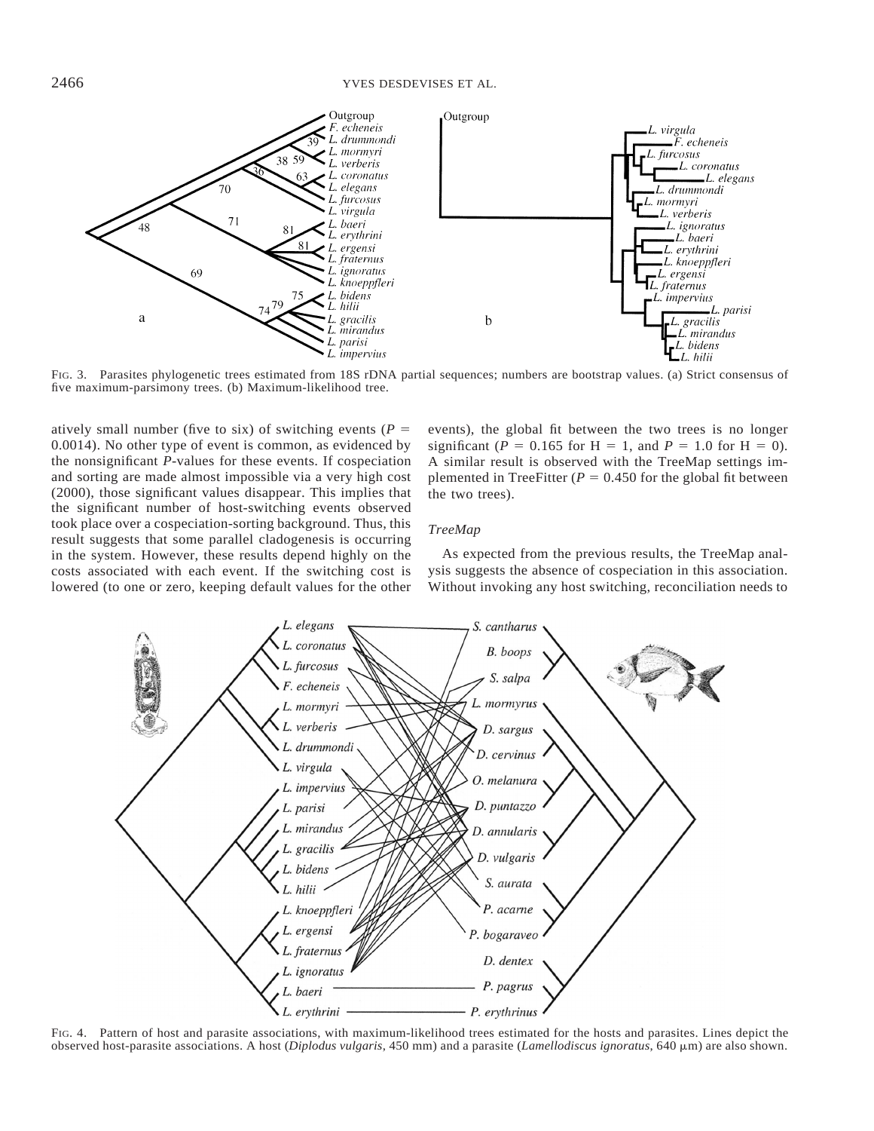

FIG. 3. Parasites phylogenetic trees estimated from 18S rDNA partial sequences; numbers are bootstrap values. (a) Strict consensus of five maximum-parsimony trees. (b) Maximum-likelihood tree.

atively small number (five to six) of switching events ( $P =$ 0.0014). No other type of event is common, as evidenced by the nonsignificant *P*-values for these events. If cospeciation and sorting are made almost impossible via a very high cost (2000), those significant values disappear. This implies that the significant number of host-switching events observed took place over a cospeciation-sorting background. Thus, this result suggests that some parallel cladogenesis is occurring in the system. However, these results depend highly on the costs associated with each event. If the switching cost is lowered (to one or zero, keeping default values for the other

events), the global fit between the two trees is no longer significant ( $P = 0.165$  for H = 1, and  $P = 1.0$  for H = 0). A similar result is observed with the TreeMap settings implemented in TreeFitter ( $P = 0.450$  for the global fit between the two trees).

# *TreeMap*

As expected from the previous results, the TreeMap analysis suggests the absence of cospeciation in this association. Without invoking any host switching, reconciliation needs to



FIG. 4. Pattern of host and parasite associations, with maximum-likelihood trees estimated for the hosts and parasites. Lines depict the observed host-parasite associations. A host (*Diplodus vulgaris*, 450 mm) and a parasite (*Lamellodiscus ignoratus*, 640 mm) are also shown.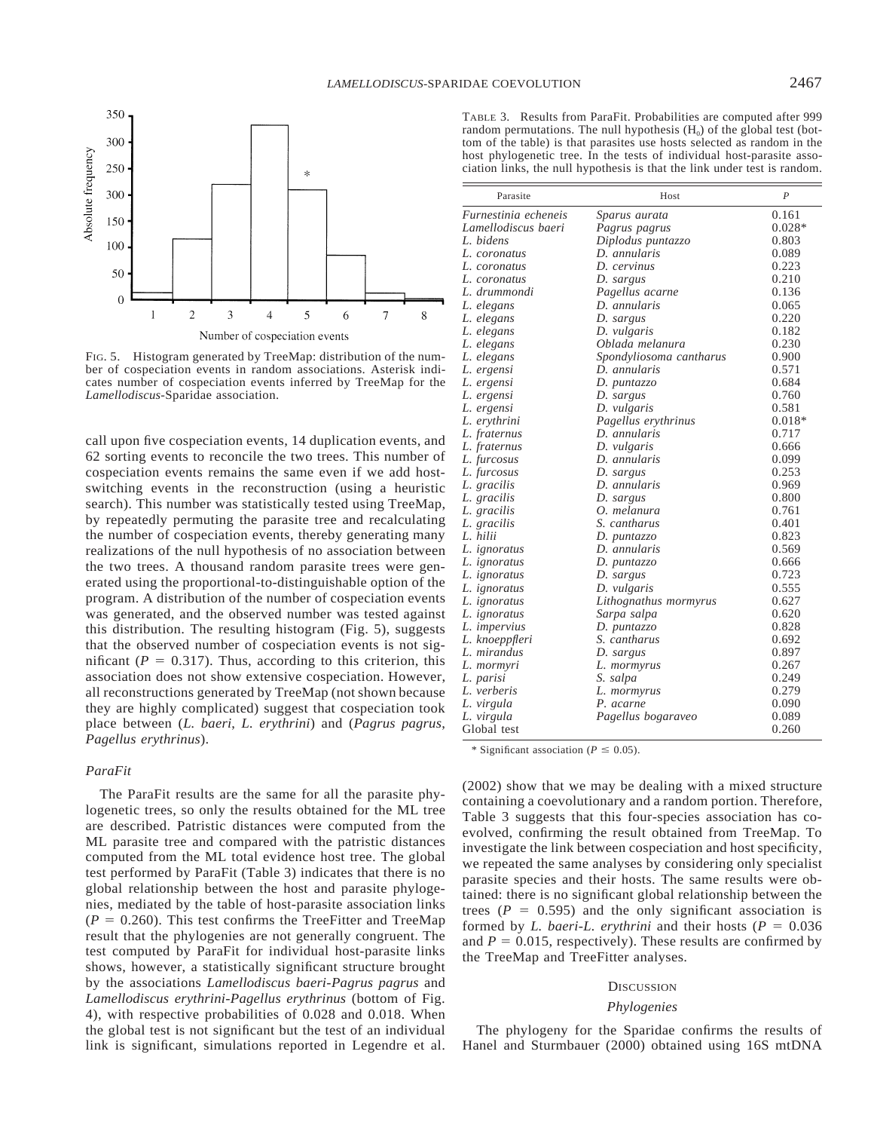

FIG. 5. Histogram generated by TreeMap: distribution of the number of cospeciation events in random associations. Asterisk indicates number of cospeciation events inferred by TreeMap for the *Lamellodiscus*-Sparidae association.

call upon five cospeciation events, 14 duplication events, and 62 sorting events to reconcile the two trees. This number of cospeciation events remains the same even if we add hostswitching events in the reconstruction (using a heuristic search). This number was statistically tested using TreeMap, by repeatedly permuting the parasite tree and recalculating the number of cospeciation events, thereby generating many realizations of the null hypothesis of no association between the two trees. A thousand random parasite trees were generated using the proportional-to-distinguishable option of the program. A distribution of the number of cospeciation events was generated, and the observed number was tested against this distribution. The resulting histogram (Fig. 5), suggests that the observed number of cospeciation events is not significant ( $P = 0.317$ ). Thus, according to this criterion, this association does not show extensive cospeciation. However, all reconstructions generated by TreeMap (not shown because they are highly complicated) suggest that cospeciation took place between (*L. baeri*, *L. erythrini*) and (*Pagrus pagrus*, *Pagellus erythrinus*).

## *ParaFit*

The ParaFit results are the same for all the parasite phylogenetic trees, so only the results obtained for the ML tree are described. Patristic distances were computed from the ML parasite tree and compared with the patristic distances computed from the ML total evidence host tree. The global test performed by ParaFit (Table 3) indicates that there is no global relationship between the host and parasite phylogenies, mediated by the table of host-parasite association links  $(P = 0.260)$ . This test confirms the TreeFitter and TreeMap result that the phylogenies are not generally congruent. The test computed by ParaFit for individual host-parasite links shows, however, a statistically significant structure brought by the associations *Lamellodiscus baeri*-*Pagrus pagrus* and *Lamellodiscus erythrini*-*Pagellus erythrinus* (bottom of Fig. 4), with respective probabilities of 0.028 and 0.018. When the global test is not significant but the test of an individual link is significant, simulations reported in Legendre et al.

TABLE 3. Results from ParaFit. Probabilities are computed after 999 random permutations. The null hypothesis  $(H_0)$  of the global test (bottom of the table) is that parasites use hosts selected as random in the host phylogenetic tree. In the tests of individual host-parasite association links, the null hypothesis is that the link under test is random.

| Parasite             | Host                    | $\boldsymbol{P}$ |
|----------------------|-------------------------|------------------|
| Furnestinia echeneis | Sparus aurata           | 0.161            |
| Lamellodiscus baeri  | Pagrus pagrus           | $0.028*$         |
| L. bidens            | Diplodus puntazzo       | 0.803            |
| L. coronatus         | D. annularis            | 0.089            |
| L. coronatus         | D. cervinus             | 0.223            |
| L. coronatus         | D. sargus               | 0.210            |
| L. drummondi         | Pagellus acarne         | 0.136            |
| L. elegans           | D. annularis            | 0.065            |
| L. elegans           | D. sargus               | 0.220            |
| L. elegans           | D. vulgaris             | 0.182            |
| L. elegans           | Oblada melanura         | 0.230            |
| L. elegans           | Spondyliosoma cantharus | 0.900            |
| L. ergensi           | D. annularis            | 0.571            |
| L. ergensi           | D. puntazzo             | 0.684            |
| L. ergensi           | D. sargus               | 0.760            |
| L. ergensi           | D. vulgaris             | 0.581            |
| L. erythrini         | Pagellus erythrinus     | $0.018*$         |
| L. fraternus         | D. annularis            | 0.717            |
| L. fraternus         | D. vulgaris             | 0.666            |
| L. furcosus          | D. annularis            | 0.099            |
| L. furcosus          | D. sargus               | 0.253            |
| L. gracilis          | D. annularis            | 0.969            |
| L. gracilis          | D. sargus               | 0.800            |
| L. gracilis          | O. melanura             | 0.761            |
| L. gracilis          | S. cantharus            | 0.401            |
| L. hilii             | D. puntazzo             | 0.823            |
| L. <i>ignoratus</i>  | D. annularis            | 0.569            |
| L. <i>ignoratus</i>  | D. puntazzo             | 0.666            |
| L. ignoratus         | D. sargus               | 0.723            |
| L. ignoratus         | D. vulgaris             | 0.555            |
| L. ignoratus         | Lithognathus mormyrus   | 0.627            |
| L. <i>ignoratus</i>  | Sarpa salpa             | 0.620            |
| L. impervius         | D. puntazzo             | 0.828            |
| L. knoeppfleri       | S. cantharus            | 0.692            |
| L. mirandus          | D. sargus               | 0.897            |
| L. mormyri           | L. mormyrus             | 0.267            |
| L. parisi            | S. salpa                | 0.249            |
| L. verberis          | L. mormyrus             | 0.279            |
| L. virgula           | P. acarne               | 0.090            |
| L. virgula           | Pagellus bogaraveo      | 0.089            |
| Global test          |                         | 0.260            |

\* Significant association ( $P \leq 0.05$ ).

(2002) show that we may be dealing with a mixed structure containing a coevolutionary and a random portion. Therefore, Table 3 suggests that this four-species association has coevolved, confirming the result obtained from TreeMap. To investigate the link between cospeciation and host specificity, we repeated the same analyses by considering only specialist parasite species and their hosts. The same results were obtained: there is no significant global relationship between the trees  $(P = 0.595)$  and the only significant association is formed by *L. baeri-L. erythrini* and their hosts ( $P = 0.036$ ) and  $P = 0.015$ , respectively). These results are confirmed by the TreeMap and TreeFitter analyses.

#### **DISCUSSION**

# *Phylogenies*

The phylogeny for the Sparidae confirms the results of Hanel and Sturmbauer (2000) obtained using 16S mtDNA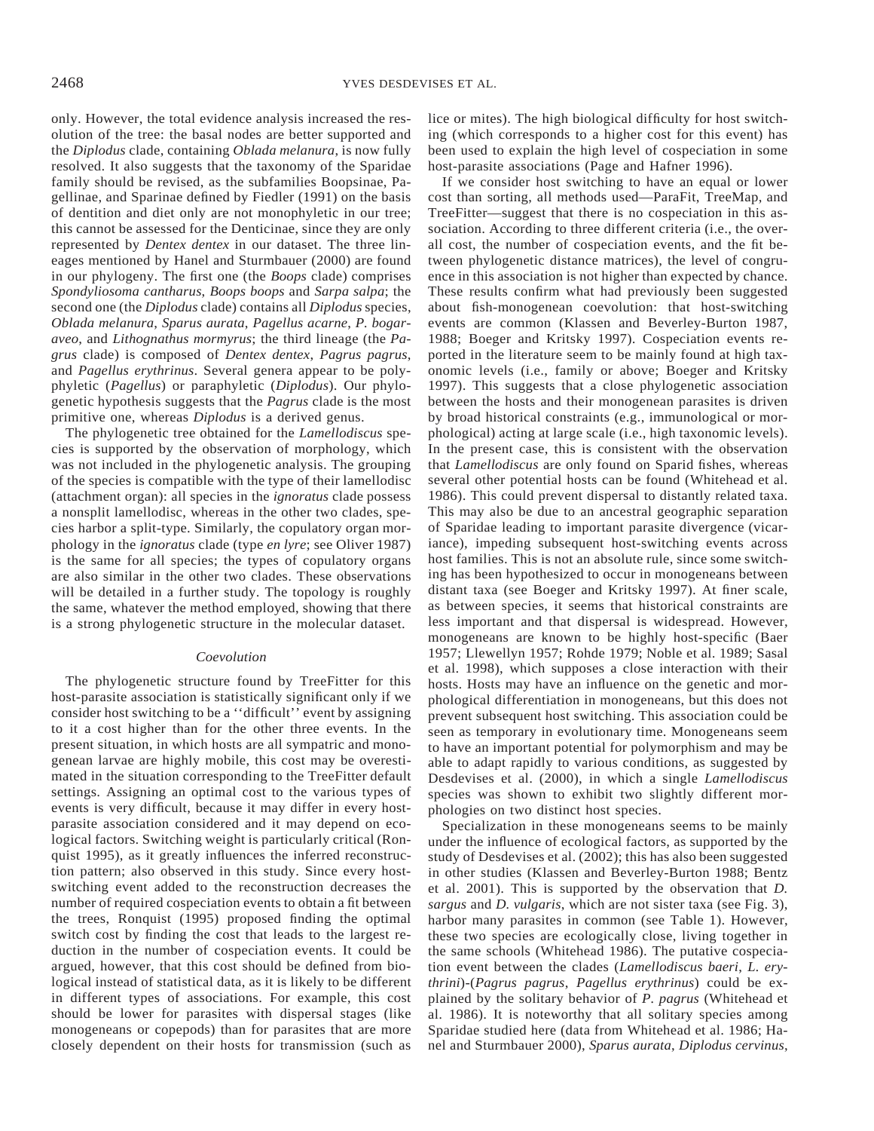only. However, the total evidence analysis increased the resolution of the tree: the basal nodes are better supported and the *Diplodus* clade, containing *Oblada melanura*, is now fully resolved. It also suggests that the taxonomy of the Sparidae family should be revised, as the subfamilies Boopsinae, Pagellinae, and Sparinae defined by Fiedler (1991) on the basis of dentition and diet only are not monophyletic in our tree; this cannot be assessed for the Denticinae, since they are only represented by *Dentex dentex* in our dataset. The three lineages mentioned by Hanel and Sturmbauer (2000) are found in our phylogeny. The first one (the *Boops* clade) comprises *Spondyliosoma cantharus*, *Boops boops* and *Sarpa salpa*; the second one (the *Diplodus* clade) contains all *Diplodus* species, *Oblada melanura*, *Sparus aurata*, *Pagellus acarne*, *P. bogaraveo*, and *Lithognathus mormyrus*; the third lineage (the *Pagrus* clade) is composed of *Dentex dentex*, *Pagrus pagrus*, and *Pagellus erythrinus*. Several genera appear to be polyphyletic (*Pagellus*) or paraphyletic (*Diplodus*). Our phylogenetic hypothesis suggests that the *Pagrus* clade is the most primitive one, whereas *Diplodus* is a derived genus.

The phylogenetic tree obtained for the *Lamellodiscus* species is supported by the observation of morphology, which was not included in the phylogenetic analysis. The grouping of the species is compatible with the type of their lamellodisc (attachment organ): all species in the *ignoratus* clade possess a nonsplit lamellodisc, whereas in the other two clades, species harbor a split-type. Similarly, the copulatory organ morphology in the *ignoratus* clade (type *en lyre*; see Oliver 1987) is the same for all species; the types of copulatory organs are also similar in the other two clades. These observations will be detailed in a further study. The topology is roughly the same, whatever the method employed, showing that there is a strong phylogenetic structure in the molecular dataset.

## *Coevolution*

The phylogenetic structure found by TreeFitter for this host-parasite association is statistically significant only if we consider host switching to be a ''difficult'' event by assigning to it a cost higher than for the other three events. In the present situation, in which hosts are all sympatric and monogenean larvae are highly mobile, this cost may be overestimated in the situation corresponding to the TreeFitter default settings. Assigning an optimal cost to the various types of events is very difficult, because it may differ in every hostparasite association considered and it may depend on ecological factors. Switching weight is particularly critical (Ronquist 1995), as it greatly influences the inferred reconstruction pattern; also observed in this study. Since every hostswitching event added to the reconstruction decreases the number of required cospeciation events to obtain a fit between the trees, Ronquist (1995) proposed finding the optimal switch cost by finding the cost that leads to the largest reduction in the number of cospeciation events. It could be argued, however, that this cost should be defined from biological instead of statistical data, as it is likely to be different in different types of associations. For example, this cost should be lower for parasites with dispersal stages (like monogeneans or copepods) than for parasites that are more closely dependent on their hosts for transmission (such as lice or mites). The high biological difficulty for host switching (which corresponds to a higher cost for this event) has been used to explain the high level of cospeciation in some host-parasite associations (Page and Hafner 1996).

If we consider host switching to have an equal or lower cost than sorting, all methods used—ParaFit, TreeMap, and TreeFitter—suggest that there is no cospeciation in this association. According to three different criteria (i.e., the overall cost, the number of cospeciation events, and the fit between phylogenetic distance matrices), the level of congruence in this association is not higher than expected by chance. These results confirm what had previously been suggested about fish-monogenean coevolution: that host-switching events are common (Klassen and Beverley-Burton 1987, 1988; Boeger and Kritsky 1997). Cospeciation events reported in the literature seem to be mainly found at high taxonomic levels (i.e., family or above; Boeger and Kritsky 1997). This suggests that a close phylogenetic association between the hosts and their monogenean parasites is driven by broad historical constraints (e.g., immunological or morphological) acting at large scale (i.e., high taxonomic levels). In the present case, this is consistent with the observation that *Lamellodiscus* are only found on Sparid fishes, whereas several other potential hosts can be found (Whitehead et al. 1986). This could prevent dispersal to distantly related taxa. This may also be due to an ancestral geographic separation of Sparidae leading to important parasite divergence (vicariance), impeding subsequent host-switching events across host families. This is not an absolute rule, since some switching has been hypothesized to occur in monogeneans between distant taxa (see Boeger and Kritsky 1997). At finer scale, as between species, it seems that historical constraints are less important and that dispersal is widespread. However, monogeneans are known to be highly host-specific (Baer 1957; Llewellyn 1957; Rohde 1979; Noble et al. 1989; Sasal et al. 1998), which supposes a close interaction with their hosts. Hosts may have an influence on the genetic and morphological differentiation in monogeneans, but this does not prevent subsequent host switching. This association could be seen as temporary in evolutionary time. Monogeneans seem to have an important potential for polymorphism and may be able to adapt rapidly to various conditions, as suggested by Desdevises et al. (2000), in which a single *Lamellodiscus* species was shown to exhibit two slightly different morphologies on two distinct host species.

Specialization in these monogeneans seems to be mainly under the influence of ecological factors, as supported by the study of Desdevises et al. (2002); this has also been suggested in other studies (Klassen and Beverley-Burton 1988; Bentz et al. 2001). This is supported by the observation that *D. sargus* and *D. vulgaris*, which are not sister taxa (see Fig. 3), harbor many parasites in common (see Table 1). However, these two species are ecologically close, living together in the same schools (Whitehead 1986). The putative cospeciation event between the clades (*Lamellodiscus baeri*, *L. erythrini*)-(*Pagrus pagrus*, *Pagellus erythrinus*) could be explained by the solitary behavior of *P. pagrus* (Whitehead et al. 1986). It is noteworthy that all solitary species among Sparidae studied here (data from Whitehead et al. 1986; Hanel and Sturmbauer 2000), *Sparus aurata*, *Diplodus cervinus*,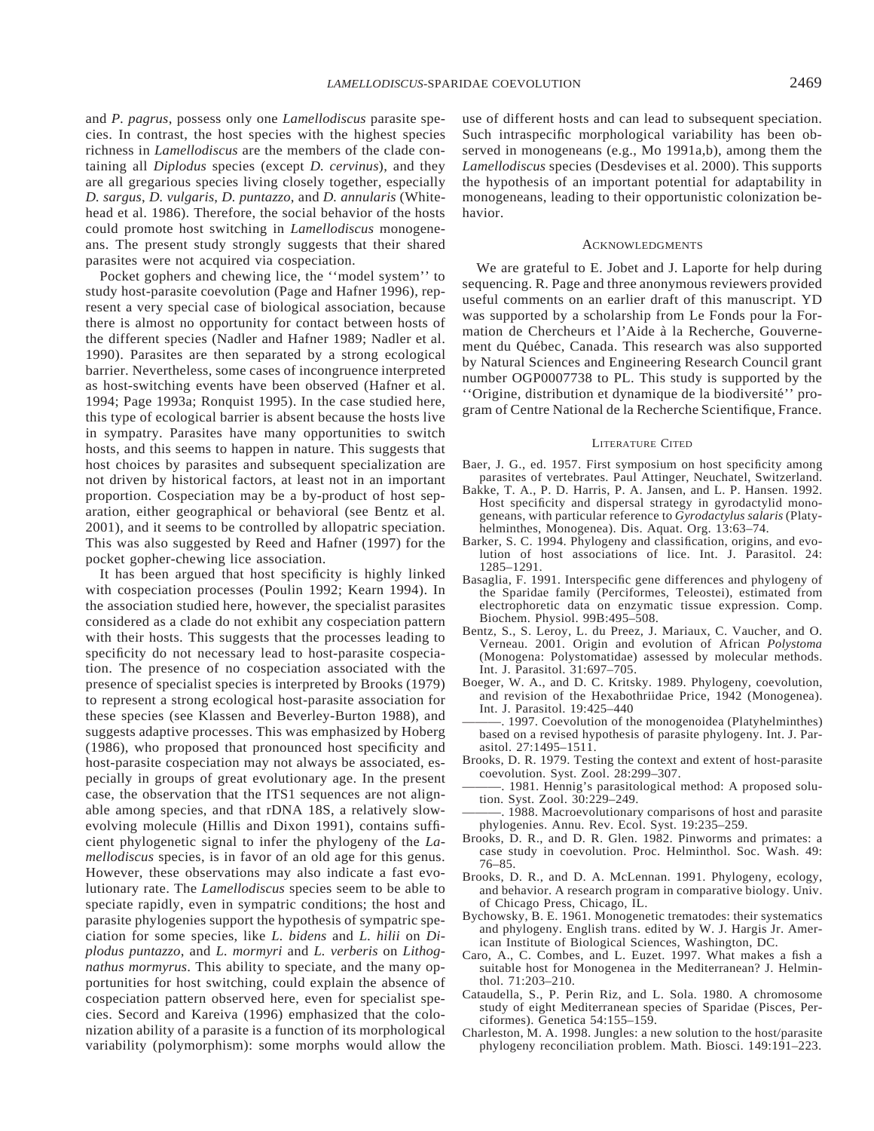and *P. pagrus*, possess only one *Lamellodiscus* parasite species. In contrast, the host species with the highest species richness in *Lamellodiscus* are the members of the clade containing all *Diplodus* species (except *D. cervinus*), and they are all gregarious species living closely together, especially *D. sargus*, *D. vulgaris*, *D. puntazzo*, and *D. annularis* (Whitehead et al. 1986). Therefore, the social behavior of the hosts could promote host switching in *Lamellodiscus* monogeneans. The present study strongly suggests that their shared parasites were not acquired via cospeciation.

Pocket gophers and chewing lice, the ''model system'' to study host-parasite coevolution (Page and Hafner 1996), represent a very special case of biological association, because there is almost no opportunity for contact between hosts of the different species (Nadler and Hafner 1989; Nadler et al. 1990). Parasites are then separated by a strong ecological barrier. Nevertheless, some cases of incongruence interpreted as host-switching events have been observed (Hafner et al. 1994; Page 1993a; Ronquist 1995). In the case studied here, this type of ecological barrier is absent because the hosts live in sympatry. Parasites have many opportunities to switch hosts, and this seems to happen in nature. This suggests that host choices by parasites and subsequent specialization are not driven by historical factors, at least not in an important proportion. Cospeciation may be a by-product of host separation, either geographical or behavioral (see Bentz et al. 2001), and it seems to be controlled by allopatric speciation. This was also suggested by Reed and Hafner (1997) for the pocket gopher-chewing lice association.

It has been argued that host specificity is highly linked with cospeciation processes (Poulin 1992; Kearn 1994). In the association studied here, however, the specialist parasites considered as a clade do not exhibit any cospeciation pattern with their hosts. This suggests that the processes leading to specificity do not necessary lead to host-parasite cospeciation. The presence of no cospeciation associated with the presence of specialist species is interpreted by Brooks (1979) to represent a strong ecological host-parasite association for these species (see Klassen and Beverley-Burton 1988), and suggests adaptive processes. This was emphasized by Hoberg (1986), who proposed that pronounced host specificity and host-parasite cospeciation may not always be associated, especially in groups of great evolutionary age. In the present case, the observation that the ITS1 sequences are not alignable among species, and that rDNA 18S, a relatively slowevolving molecule (Hillis and Dixon 1991), contains sufficient phylogenetic signal to infer the phylogeny of the *Lamellodiscus* species, is in favor of an old age for this genus. However, these observations may also indicate a fast evolutionary rate. The *Lamellodiscus* species seem to be able to speciate rapidly, even in sympatric conditions; the host and parasite phylogenies support the hypothesis of sympatric speciation for some species, like *L. bidens* and *L. hilii* on *Diplodus puntazzo*, and *L. mormyri* and *L. verberis* on *Lithognathus mormyrus*. This ability to speciate, and the many opportunities for host switching, could explain the absence of cospeciation pattern observed here, even for specialist species. Secord and Kareiva (1996) emphasized that the colonization ability of a parasite is a function of its morphological variability (polymorphism): some morphs would allow the

use of different hosts and can lead to subsequent speciation. Such intraspecific morphological variability has been observed in monogeneans (e.g., Mo 1991a,b), among them the *Lamellodiscus* species (Desdevises et al. 2000). This supports the hypothesis of an important potential for adaptability in monogeneans, leading to their opportunistic colonization behavior.

#### ACKNOWLEDGMENTS

We are grateful to E. Jobet and J. Laporte for help during sequencing. R. Page and three anonymous reviewers provided useful comments on an earlier draft of this manuscript. YD was supported by a scholarship from Le Fonds pour la Formation de Chercheurs et l'Aide à la Recherche, Gouvernement du Québec, Canada. This research was also supported by Natural Sciences and Engineering Research Council grant number OGP0007738 to PL. This study is supported by the ''Origine, distribution et dynamique de la biodiversite´'' program of Centre National de la Recherche Scientifique, France.

#### LITERATURE CITED

- Baer, J. G., ed. 1957. First symposium on host specificity among parasites of vertebrates. Paul Attinger, Neuchatel, Switzerland.
- Bakke, T. A., P. D. Harris, P. A. Jansen, and L. P. Hansen. 1992. Host specificity and dispersal strategy in gyrodactylid monogeneans, with particular reference to *Gyrodactylus salaris* (Platyhelminthes, Monogenea). Dis. Aquat. Org. 13:63–74.
- Barker, S. C. 1994. Phylogeny and classification, origins, and evolution of host associations of lice. Int. J. Parasitol. 24: 1285–1291.
- Basaglia, F. 1991. Interspecific gene differences and phylogeny of the Sparidae family (Perciformes, Teleostei), estimated from electrophoretic data on enzymatic tissue expression. Comp. Biochem. Physiol. 99B:495–508.
- Bentz, S., S. Leroy, L. du Preez, J. Mariaux, C. Vaucher, and O. Verneau. 2001. Origin and evolution of African *Polystoma* (Monogena: Polystomatidae) assessed by molecular methods. Int. J. Parasitol. 31:697–705.
- Boeger, W. A., and D. C. Kritsky. 1989. Phylogeny, coevolution, and revision of the Hexabothriidae Price, 1942 (Monogenea). Int. J. Parasitol. 19:425–440
- -. 1997. Coevolution of the monogenoidea (Platyhelminthes) based on a revised hypothesis of parasite phylogeny. Int. J. Parasitol. 27:1495–1511.
- Brooks, D. R. 1979. Testing the context and extent of host-parasite coevolution. Syst. Zool. 28:299–307.
- ———. 1981. Hennig's parasitological method: A proposed solution. Syst. Zool. 30:229–249.
- ———. 1988. Macroevolutionary comparisons of host and parasite phylogenies. Annu. Rev. Ecol. Syst. 19:235–259.
- Brooks, D. R., and D. R. Glen. 1982. Pinworms and primates: a case study in coevolution. Proc. Helminthol. Soc. Wash. 49: 76–85.
- Brooks, D. R., and D. A. McLennan. 1991. Phylogeny, ecology, and behavior. A research program in comparative biology. Univ. of Chicago Press, Chicago, IL.
- Bychowsky, B. E. 1961. Monogenetic trematodes: their systematics and phylogeny. English trans. edited by W. J. Hargis Jr. American Institute of Biological Sciences, Washington, DC.
- Caro, A., C. Combes, and L. Euzet. 1997. What makes a fish a suitable host for Monogenea in the Mediterranean? J. Helminthol. 71:203–210.
- Cataudella, S., P. Perin Riz, and L. Sola. 1980. A chromosome study of eight Mediterranean species of Sparidae (Pisces, Perciformes). Genetica 54:155–159.
- Charleston, M. A. 1998. Jungles: a new solution to the host/parasite phylogeny reconciliation problem. Math. Biosci. 149:191–223.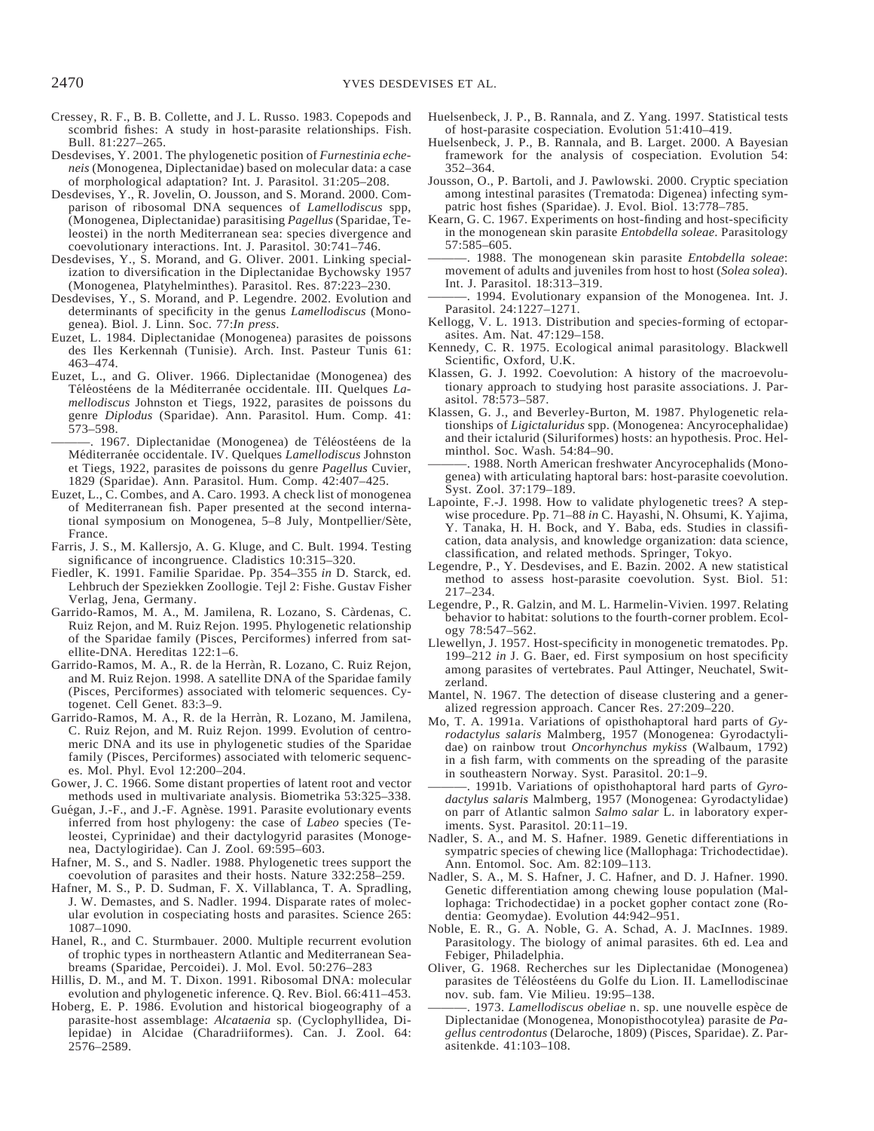- Cressey, R. F., B. B. Collette, and J. L. Russo. 1983. Copepods and scombrid fishes: A study in host-parasite relationships. Fish. Bull. 81:227–265.
- Desdevises, Y. 2001. The phylogenetic position of *Furnestinia echeneis* (Monogenea, Diplectanidae) based on molecular data: a case of morphological adaptation? Int. J. Parasitol. 31:205–208.
- Desdevises, Y., R. Jovelin, O. Jousson, and S. Morand. 2000. Comparison of ribosomal DNA sequences of *Lamellodiscus* spp, (Monogenea, Diplectanidae) parasitising *Pagellus* (Sparidae, Teleostei) in the north Mediterranean sea: species divergence and coevolutionary interactions. Int. J. Parasitol. 30:741–746.
- Desdevises, Y., S. Morand, and G. Oliver. 2001. Linking specialization to diversification in the Diplectanidae Bychowsky 1957 (Monogenea, Platyhelminthes). Parasitol. Res. 87:223–230.
- Desdevises, Y., S. Morand, and P. Legendre. 2002. Evolution and determinants of specificity in the genus *Lamellodiscus* (Monogenea). Biol. J. Linn. Soc. 77:*In press*.
- Euzet, L. 1984. Diplectanidae (Monogenea) parasites de poissons des Iles Kerkennah (Tunisie). Arch. Inst. Pasteur Tunis 61: 463–474.
- Euzet, L., and G. Oliver. 1966. Diplectanidae (Monogenea) des Téléostéens de la Méditerranée occidentale. III. Quelques *Lamellodiscus* Johnston et Tiegs, 1922, parasites de poissons du genre *Diplodus* (Sparidae). Ann. Parasitol. Hum. Comp. 41: 573–598.
- $-$ . 1967. Diplectanidae (Monogenea) de Téléostéens de la Méditerranée occidentale. IV. Quelques *Lamellodiscus* Johnston et Tiegs, 1922, parasites de poissons du genre *Pagellus* Cuvier, 1829 (Sparidae). Ann. Parasitol. Hum. Comp. 42:407–425.
- Euzet, L., C. Combes, and A. Caro. 1993. A check list of monogenea of Mediterranean fish. Paper presented at the second international symposium on Monogenea, 5–8 July, Montpellier/Sète, France.
- Farris, J. S., M. Kallersjo, A. G. Kluge, and C. Bult. 1994. Testing significance of incongruence. Cladistics 10:315–320.
- Fiedler, K. 1991. Familie Sparidae. Pp. 354–355 *in* D. Starck, ed. Lehbruch der Speziekken Zoollogie. Tejl 2: Fishe. Gustav Fisher Verlag, Jena, Germany.
- Garrido-Ramos, M. A., M. Jamilena, R. Lozano, S. Càrdenas, C. Ruiz Rejon, and M. Ruiz Rejon. 1995. Phylogenetic relationship of the Sparidae family (Pisces, Perciformes) inferred from satellite-DNA. Hereditas 122:1–6.
- Garrido-Ramos, M. A., R. de la Herràn, R. Lozano, C. Ruiz Rejon, and M. Ruiz Rejon. 1998. A satellite DNA of the Sparidae family (Pisces, Perciformes) associated with telomeric sequences. Cytogenet. Cell Genet. 83:3–9.
- Garrido-Ramos, M. A., R. de la Herràn, R. Lozano, M. Jamilena, C. Ruiz Rejon, and M. Ruiz Rejon. 1999. Evolution of centromeric DNA and its use in phylogenetic studies of the Sparidae family (Pisces, Perciformes) associated with telomeric sequences. Mol. Phyl. Evol 12:200–204.
- Gower, J. C. 1966. Some distant properties of latent root and vector methods used in multivariate analysis. Biometrika 53:325–338.
- Guégan, J.-F., and J.-F. Agnèse. 1991. Parasite evolutionary events inferred from host phylogeny: the case of *Labeo* species (Teleostei, Cyprinidae) and their dactylogyrid parasites (Monogenea, Dactylogiridae). Can J. Zool. 69:595–603.
- Hafner, M. S., and S. Nadler. 1988. Phylogenetic trees support the coevolution of parasites and their hosts. Nature 332:258–259.
- Hafner, M. S., P. D. Sudman, F. X. Villablanca, T. A. Spradling, J. W. Demastes, and S. Nadler. 1994. Disparate rates of molecular evolution in cospeciating hosts and parasites. Science 265: 1087–1090.
- Hanel, R., and C. Sturmbauer. 2000. Multiple recurrent evolution of trophic types in northeastern Atlantic and Mediterranean Seabreams (Sparidae, Percoidei). J. Mol. Evol. 50:276–283
- Hillis, D. M., and M. T. Dixon. 1991. Ribosomal DNA: molecular evolution and phylogenetic inference. Q. Rev. Biol. 66:411–453.
- Hoberg, E. P. 1986. Evolution and historical biogeography of a parasite-host assemblage: *Alcataenia* sp. (Cyclophyllidea, Dilepidae) in Alcidae (Charadriiformes). Can. J. Zool. 64: 2576–2589.
- Huelsenbeck, J. P., B. Rannala, and Z. Yang. 1997. Statistical tests of host-parasite cospeciation. Evolution 51:410–419.
- Huelsenbeck, J. P., B. Rannala, and B. Larget. 2000. A Bayesian framework for the analysis of cospeciation. Evolution 54: 352–364.
- Jousson, O., P. Bartoli, and J. Pawlowski. 2000. Cryptic speciation among intestinal parasites (Trematoda: Digenea) infecting sympatric host fishes (Sparidae). J. Evol. Biol. 13:778–785.
- Kearn, G. C. 1967. Experiments on host-finding and host-specificity in the monogenean skin parasite *Entobdella soleae*. Parasitology 57:585–605.
- ———. 1988. The monogenean skin parasite *Entobdella soleae*: movement of adults and juveniles from host to host (*Solea solea*). Int. J. Parasitol. 18:313–319.
- . 1994. Evolutionary expansion of the Monogenea. Int. J. Parasitol. 24:1227–1271.
- Kellogg, V. L. 1913. Distribution and species-forming of ectoparasites. Am. Nat. 47:129–158.
- Kennedy, C. R. 1975. Ecological animal parasitology. Blackwell Scientific, Oxford, U.K.
- Klassen, G. J. 1992. Coevolution: A history of the macroevolutionary approach to studying host parasite associations. J. Parasitol. 78:573–587.
- Klassen, G. J., and Beverley-Burton, M. 1987. Phylogenetic relationships of *Ligictaluridus* spp. (Monogenea: Ancyrocephalidae) and their ictalurid (Siluriformes) hosts: an hypothesis. Proc. Helminthol. Soc. Wash. 54:84–90.
- -. 1988. North American freshwater Ancyrocephalids (Monogenea) with articulating haptoral bars: host-parasite coevolution. Syst. Zool. 37:179–189.
- Lapointe, F.-J. 1998. How to validate phylogenetic trees? A stepwise procedure. Pp. 71–88 *in* C. Hayashi, N. Ohsumi, K. Yajima, Y. Tanaka, H. H. Bock, and Y. Baba, eds. Studies in classification, data analysis, and knowledge organization: data science, classification, and related methods. Springer, Tokyo.
- Legendre, P., Y. Desdevises, and E. Bazin. 2002. A new statistical method to assess host-parasite coevolution. Syst. Biol. 51: 217–234.
- Legendre, P., R. Galzin, and M. L. Harmelin-Vivien. 1997. Relating behavior to habitat: solutions to the fourth-corner problem. Ecology 78:547–562.
- Llewellyn, J. 1957. Host-specificity in monogenetic trematodes. Pp. 199–212 *in* J. G. Baer, ed. First symposium on host specificity among parasites of vertebrates. Paul Attinger, Neuchatel, Switzerland.
- Mantel, N. 1967. The detection of disease clustering and a generalized regression approach. Cancer Res. 27:209–220.
- Mo, T. A. 1991a. Variations of opisthohaptoral hard parts of *Gyrodactylus salaris* Malmberg, 1957 (Monogenea: Gyrodactylidae) on rainbow trout *Oncorhynchus mykiss* (Walbaum, 1792) in a fish farm, with comments on the spreading of the parasite in southeastern Norway. Syst. Parasitol. 20:1–9.
- ———. 1991b. Variations of opisthohaptoral hard parts of *Gyrodactylus salaris* Malmberg, 1957 (Monogenea: Gyrodactylidae) on parr of Atlantic salmon *Salmo salar* L. in laboratory experiments. Syst. Parasitol. 20:11–19.
- Nadler, S. A., and M. S. Hafner. 1989. Genetic differentiations in sympatric species of chewing lice (Mallophaga: Trichodectidae). Ann. Entomol. Soc. Am. 82:109–113.
- Nadler, S. A., M. S. Hafner, J. C. Hafner, and D. J. Hafner. 1990. Genetic differentiation among chewing louse population (Mallophaga: Trichodectidae) in a pocket gopher contact zone (Rodentia: Geomydae). Evolution 44:942–951.
- Noble, E. R., G. A. Noble, G. A. Schad, A. J. MacInnes. 1989. Parasitology. The biology of animal parasites. 6th ed. Lea and Febiger, Philadelphia.
- Oliver, G. 1968. Recherches sur les Diplectanidae (Monogenea) parasites de Téléostéens du Golfe du Lion. II. Lamellodiscinae nov. sub. fam. Vie Milieu. 19:95–138.
- -. 1973. *Lamellodiscus obeliae* n. sp. une nouvelle espèce de Diplectanidae (Monogenea, Monopisthocotylea) parasite de *Pagellus centrodontus* (Delaroche, 1809) (Pisces, Sparidae). Z. Parasitenkde. 41:103–108.